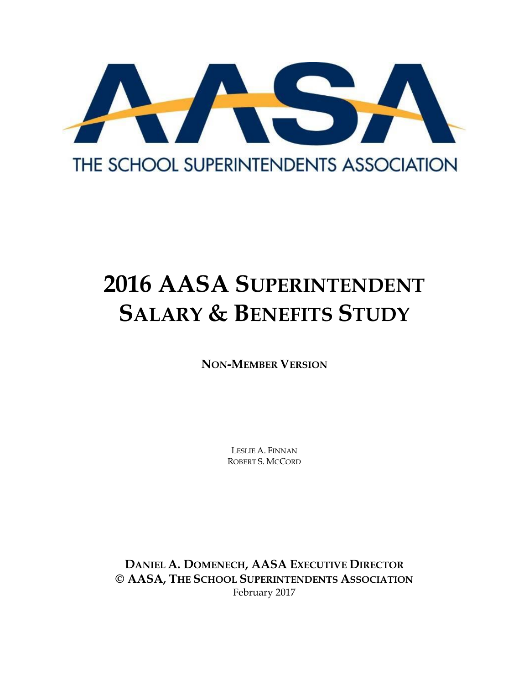

# **2016 AASA SUPERINTENDENT SALARY & BENEFITS STUDY**

**NON-MEMBER VERSION**

LESLIE A. FINNAN ROBERT S. MCCORD

**DANIEL A. DOMENECH, AASA EXECUTIVE DIRECTOR © AASA, THE SCHOOL SUPERINTENDENTS ASSOCIATION** February 2017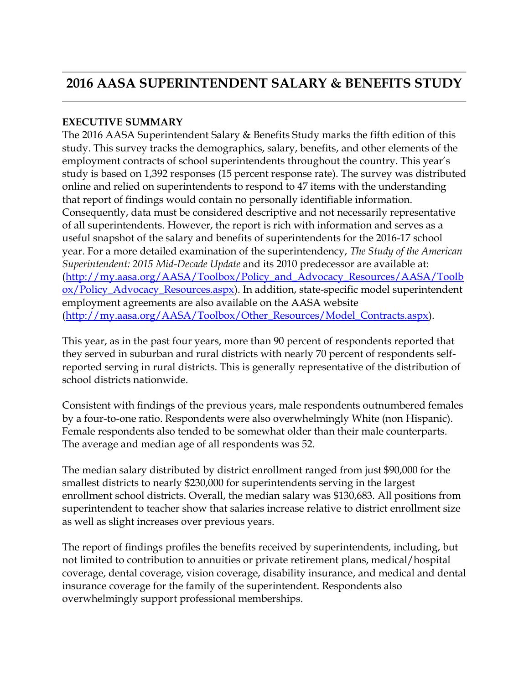### **2016 AASA SUPERINTENDENT SALARY & BENEFITS STUDY**

#### **EXECUTIVE SUMMARY**

The 2016 AASA Superintendent Salary & Benefits Study marks the fifth edition of this study. This survey tracks the demographics, salary, benefits, and other elements of the employment contracts of school superintendents throughout the country. This year's study is based on 1,392 responses (15 percent response rate). The survey was distributed online and relied on superintendents to respond to 47 items with the understanding that report of findings would contain no personally identifiable information. Consequently, data must be considered descriptive and not necessarily representative of all superintendents. However, the report is rich with information and serves as a useful snapshot of the salary and benefits of superintendents for the 2016-17 school year. For a more detailed examination of the superintendency, *The Study of the American Superintendent: 2015 Mid-Decade Update* and its 2010 predecessor are available at: [\(http://my.aasa.org/AASA/Toolbox/Policy\\_and\\_Advocacy\\_Resources/AASA/Toolb](http://my.aasa.org/AASA/Toolbox/Policy_and_Advocacy_Resources/AASA/Toolbox/Policy_Advocacy_Resources.aspx) [ox/Policy\\_Advocacy\\_Resources.aspx\)](http://my.aasa.org/AASA/Toolbox/Policy_and_Advocacy_Resources/AASA/Toolbox/Policy_Advocacy_Resources.aspx). In addition, state-specific model superintendent employment agreements are also available on the AASA website [\(http://my.aasa.org/AASA/Toolbox/Other\\_Resources/Model\\_Contracts.aspx\)](http://my.aasa.org/AASA/Toolbox/Other_Resources/Model_Contracts.aspx).

This year, as in the past four years, more than 90 percent of respondents reported that they served in suburban and rural districts with nearly 70 percent of respondents selfreported serving in rural districts. This is generally representative of the distribution of school districts nationwide.

Consistent with findings of the previous years, male respondents outnumbered females by a four-to-one ratio. Respondents were also overwhelmingly White (non Hispanic). Female respondents also tended to be somewhat older than their male counterparts. The average and median age of all respondents was 52.

The median salary distributed by district enrollment ranged from just \$90,000 for the smallest districts to nearly \$230,000 for superintendents serving in the largest enrollment school districts. Overall, the median salary was \$130,683. All positions from superintendent to teacher show that salaries increase relative to district enrollment size as well as slight increases over previous years.

The report of findings profiles the benefits received by superintendents, including, but not limited to contribution to annuities or private retirement plans, medical/hospital coverage, dental coverage, vision coverage, disability insurance, and medical and dental insurance coverage for the family of the superintendent. Respondents also overwhelmingly support professional memberships.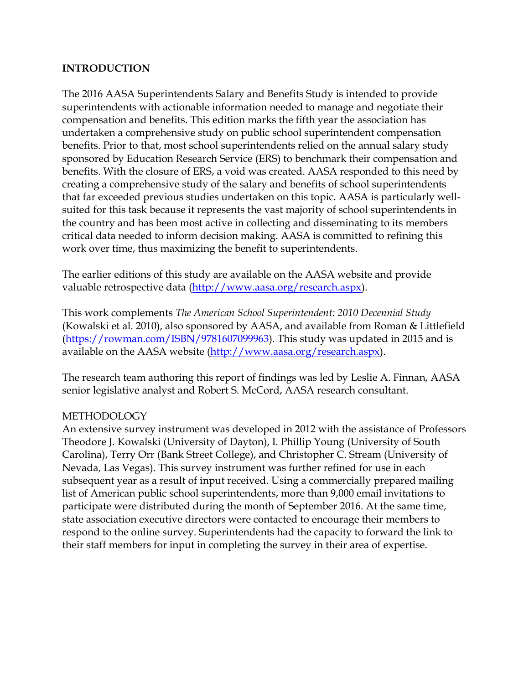#### **INTRODUCTION**

The 2016 AASA Superintendents Salary and Benefits Study is intended to provide superintendents with actionable information needed to manage and negotiate their compensation and benefits. This edition marks the fifth year the association has undertaken a comprehensive study on public school superintendent compensation benefits. Prior to that, most school superintendents relied on the annual salary study sponsored by Education Research Service (ERS) to benchmark their compensation and benefits. With the closure of ERS, a void was created. AASA responded to this need by creating a comprehensive study of the salary and benefits of school superintendents that far exceeded previous studies undertaken on this topic. AASA is particularly wellsuited for this task because it represents the vast majority of school superintendents in the country and has been most active in collecting and disseminating to its members critical data needed to inform decision making. AASA is committed to refining this work over time, thus maximizing the benefit to superintendents.

The earlier editions of this study are available on the AASA website and provide valuable retrospective data [\(http://www.aasa.org/research.aspx\)](http://www.aasa.org/research.aspx).

This work complements *The American School Superintendent: 2010 Decennial Study*  (Kowalski et al. 2010), also sponsored by AASA, and available from Roman & Littlefield (https://rowman.com/ISBN/9781607099963). This study was updated in 2015 and is available on the AASA website [\(http://www.aasa.org/research.aspx\)](http://www.aasa.org/research.aspx).

The research team authoring this report of findings was led by Leslie A. Finnan, AASA senior legislative analyst and Robert S. McCord, AASA research consultant.

#### **METHODOLOGY**

An extensive survey instrument was developed in 2012 with the assistance of Professors Theodore J. Kowalski (University of Dayton), I. Phillip Young (University of South Carolina), Terry Orr (Bank Street College), and Christopher C. Stream (University of Nevada, Las Vegas). This survey instrument was further refined for use in each subsequent year as a result of input received. Using a commercially prepared mailing list of American public school superintendents, more than 9,000 email invitations to participate were distributed during the month of September 2016. At the same time, state association executive directors were contacted to encourage their members to respond to the online survey. Superintendents had the capacity to forward the link to their staff members for input in completing the survey in their area of expertise.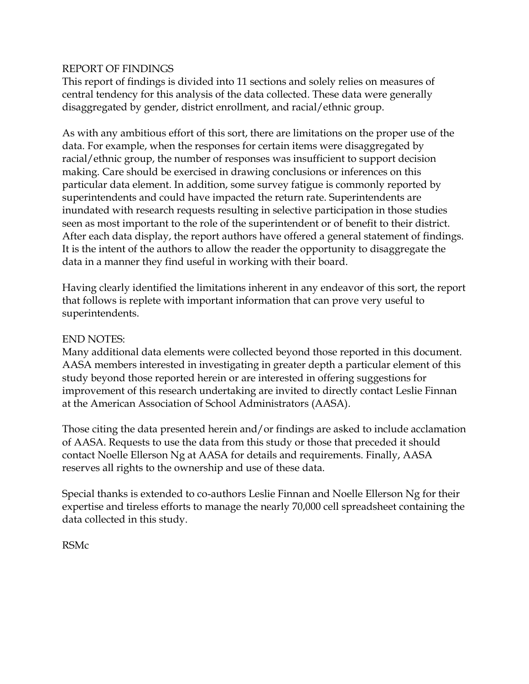#### REPORT OF FINDINGS

This report of findings is divided into 11 sections and solely relies on measures of central tendency for this analysis of the data collected. These data were generally disaggregated by gender, district enrollment, and racial/ethnic group.

As with any ambitious effort of this sort, there are limitations on the proper use of the data. For example, when the responses for certain items were disaggregated by racial/ethnic group, the number of responses was insufficient to support decision making. Care should be exercised in drawing conclusions or inferences on this particular data element. In addition, some survey fatigue is commonly reported by superintendents and could have impacted the return rate. Superintendents are inundated with research requests resulting in selective participation in those studies seen as most important to the role of the superintendent or of benefit to their district. After each data display, the report authors have offered a general statement of findings. It is the intent of the authors to allow the reader the opportunity to disaggregate the data in a manner they find useful in working with their board.

Having clearly identified the limitations inherent in any endeavor of this sort, the report that follows is replete with important information that can prove very useful to superintendents.

#### END NOTES:

Many additional data elements were collected beyond those reported in this document. AASA members interested in investigating in greater depth a particular element of this study beyond those reported herein or are interested in offering suggestions for improvement of this research undertaking are invited to directly contact Leslie Finnan at the American Association of School Administrators (AASA).

Those citing the data presented herein and/or findings are asked to include acclamation of AASA. Requests to use the data from this study or those that preceded it should contact Noelle Ellerson Ng at AASA for details and requirements. Finally, AASA reserves all rights to the ownership and use of these data.

Special thanks is extended to co-authors Leslie Finnan and Noelle Ellerson Ng for their expertise and tireless efforts to manage the nearly 70,000 cell spreadsheet containing the data collected in this study.

RSMc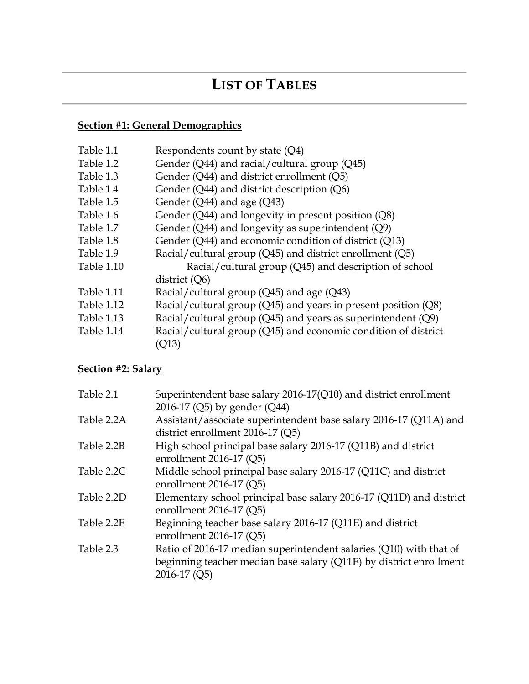### **LIST OF TABLES**

### **Section #1: General Demographics**

| Table 1.1  | Respondents count by state (Q4)                                |
|------------|----------------------------------------------------------------|
| Table 1.2  | Gender ( $Q$ 44) and racial/cultural group ( $Q$ 45)           |
| Table 1.3  | Gender $(Q44)$ and district enrollment $(Q5)$                  |
| Table 1.4  | Gender $(Q44)$ and district description $(Q6)$                 |
| Table 1.5  | Gender $(Q44)$ and age $(Q43)$                                 |
| Table 1.6  | Gender (Q44) and longevity in present position (Q8)            |
| Table 1.7  | Gender $(Q44)$ and longevity as superintendent $(Q9)$          |
| Table 1.8  | Gender (Q44) and economic condition of district (Q13)          |
| Table 1.9  | Racial/cultural group (Q45) and district enrollment (Q5)       |
| Table 1.10 | Racial/cultural group (Q45) and description of school          |
|            | district $(Q6)$                                                |
| Table 1.11 | Racial/cultural group (Q45) and age (Q43)                      |
| Table 1.12 | Racial/cultural group (Q45) and years in present position (Q8) |
| Table 1.13 | Racial/cultural group (Q45) and years as superintendent (Q9)   |
| Table 1.14 | Racial/cultural group (Q45) and economic condition of district |
|            | 'O13)                                                          |
|            |                                                                |

#### **Section #2: Salary**

| Table 2.1  | Superintendent base salary 2016-17(Q10) and district enrollment     |
|------------|---------------------------------------------------------------------|
|            | 2016-17 (Q5) by gender (Q44)                                        |
| Table 2.2A | Assistant/associate superintendent base salary 2016-17 (Q11A) and   |
|            | district enrollment 2016-17 (Q5)                                    |
| Table 2.2B | High school principal base salary 2016-17 (Q11B) and district       |
|            | enrollment $2016-17$ (Q5)                                           |
| Table 2.2C | Middle school principal base salary 2016-17 (Q11C) and district     |
|            | enrollment $2016-17$ (Q5)                                           |
| Table 2.2D | Elementary school principal base salary 2016-17 (Q11D) and district |
|            | enrollment $2016-17$ (Q5)                                           |
| Table 2.2E | Beginning teacher base salary 2016-17 (Q11E) and district           |
|            | enrollment $2016-17$ (Q5)                                           |
| Table 2.3  | Ratio of 2016-17 median superintendent salaries (Q10) with that of  |
|            | beginning teacher median base salary (Q11E) by district enrollment  |
|            | 2016-17 (Q5)                                                        |
|            |                                                                     |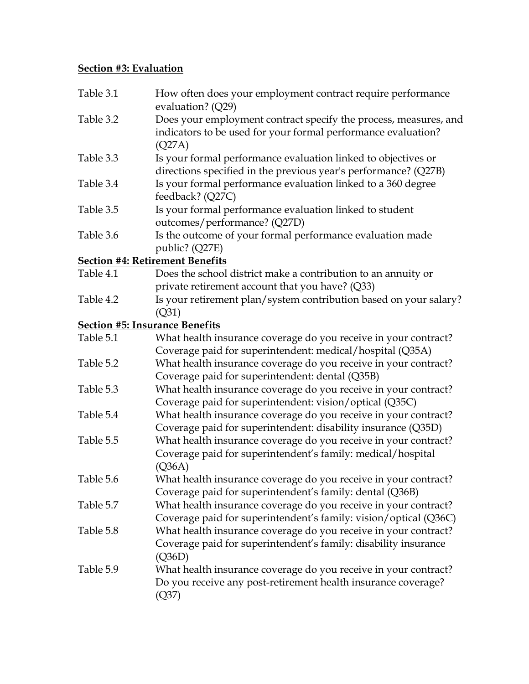#### **Section #3: Evaluation**

| Table 3.1 | How often does your employment contract require performance<br>evaluation? (Q29)                                                             |
|-----------|----------------------------------------------------------------------------------------------------------------------------------------------|
| Table 3.2 | Does your employment contract specify the process, measures, and<br>indicators to be used for your formal performance evaluation?<br>(Q27A)  |
| Table 3.3 | Is your formal performance evaluation linked to objectives or<br>directions specified in the previous year's performance? (Q27B)             |
| Table 3.4 | Is your formal performance evaluation linked to a 360 degree<br>feedback? (Q27C)                                                             |
| Table 3.5 | Is your formal performance evaluation linked to student<br>outcomes/performance? (Q27D)                                                      |
| Table 3.6 | Is the outcome of your formal performance evaluation made<br>public? (Q27E)                                                                  |
|           | <b>Section #4: Retirement Benefits</b>                                                                                                       |
| Table 4.1 | Does the school district make a contribution to an annuity or<br>private retirement account that you have? (Q33)                             |
| Table 4.2 | Is your retirement plan/system contribution based on your salary?<br>(Q31)                                                                   |
|           | <b>Section #5: Insurance Benefits</b>                                                                                                        |
| Table 5.1 | What health insurance coverage do you receive in your contract?                                                                              |
|           | Coverage paid for superintendent: medical/hospital (Q35A)                                                                                    |
| Table 5.2 | What health insurance coverage do you receive in your contract?<br>Coverage paid for superintendent: dental (Q35B)                           |
| Table 5.3 | What health insurance coverage do you receive in your contract?<br>Coverage paid for superintendent: vision/optical (Q35C)                   |
| Table 5.4 | What health insurance coverage do you receive in your contract?<br>Coverage paid for superintendent: disability insurance (Q35D)             |
| Table 5.5 | What health insurance coverage do you receive in your contract?<br>Coverage paid for superintendent's family: medical/hospital<br>(Q36A)     |
| Table 5.6 | What health insurance coverage do you receive in your contract?<br>Coverage paid for superintendent's family: dental (Q36B)                  |
| Table 5.7 | What health insurance coverage do you receive in your contract?<br>Coverage paid for superintendent's family: vision/optical (Q36C)          |
| Table 5.8 | What health insurance coverage do you receive in your contract?<br>Coverage paid for superintendent's family: disability insurance<br>(Q36D) |
| Table 5.9 | What health insurance coverage do you receive in your contract?<br>Do you receive any post-retirement health insurance coverage?<br>(Q37)    |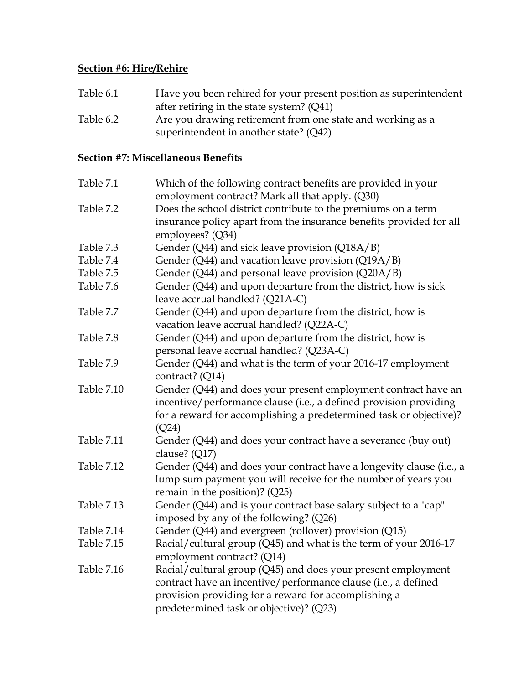#### **Section #6: Hire/Rehire**

| Table 6.1 | Have you been rehired for your present position as superintendent |
|-----------|-------------------------------------------------------------------|
|           | after retiring in the state system? $(Q41)$                       |
| Table 6.2 | Are you drawing retirement from one state and working as a        |
|           | superintendent in another state? (Q42)                            |

### **Section #7: Miscellaneous Benefits**

| Table 7.1         | Which of the following contract benefits are provided in your        |
|-------------------|----------------------------------------------------------------------|
|                   | employment contract? Mark all that apply. (Q30)                      |
| Table 7.2         | Does the school district contribute to the premiums on a term        |
|                   | insurance policy apart from the insurance benefits provided for all  |
|                   | employees? (Q34)                                                     |
| Table 7.3         | Gender (Q44) and sick leave provision (Q18A/B)                       |
| Table 7.4         | Gender (Q44) and vacation leave provision (Q19A/B)                   |
| Table 7.5         | Gender (Q44) and personal leave provision (Q20A/B)                   |
| Table 7.6         | Gender (Q44) and upon departure from the district, how is sick       |
|                   | leave accrual handled? (Q21A-C)                                      |
| Table 7.7         | Gender (Q44) and upon departure from the district, how is            |
|                   | vacation leave accrual handled? (Q22A-C)                             |
| Table 7.8         | Gender (Q44) and upon departure from the district, how is            |
|                   | personal leave accrual handled? (Q23A-C)                             |
| Table 7.9         | Gender (Q44) and what is the term of your 2016-17 employment         |
|                   | contract? (Q14)                                                      |
| Table 7.10        | Gender (Q44) and does your present employment contract have an       |
|                   | incentive/performance clause (i.e., a defined provision providing    |
|                   | for a reward for accomplishing a predetermined task or objective)?   |
|                   | (Q24)                                                                |
| Table 7.11        | Gender (Q44) and does your contract have a severance (buy out)       |
|                   | clause? (Q17)                                                        |
| Table 7.12        | Gender (Q44) and does your contract have a longevity clause (i.e., a |
|                   | lump sum payment you will receive for the number of years you        |
|                   | remain in the position)? (Q25)                                       |
| <b>Table 7.13</b> | Gender (Q44) and is your contract base salary subject to a "cap"     |
|                   | imposed by any of the following? (Q26)                               |
| Table 7.14        | Gender (Q44) and evergreen (rollover) provision (Q15)                |
| Table 7.15        | Racial/cultural group (Q45) and what is the term of your 2016-17     |
|                   | employment contract? (Q14)                                           |
| Table 7.16        | Racial/cultural group (Q45) and does your present employment         |
|                   | contract have an incentive/performance clause (i.e., a defined       |
|                   | provision providing for a reward for accomplishing a                 |
|                   | predetermined task or objective)? (Q23)                              |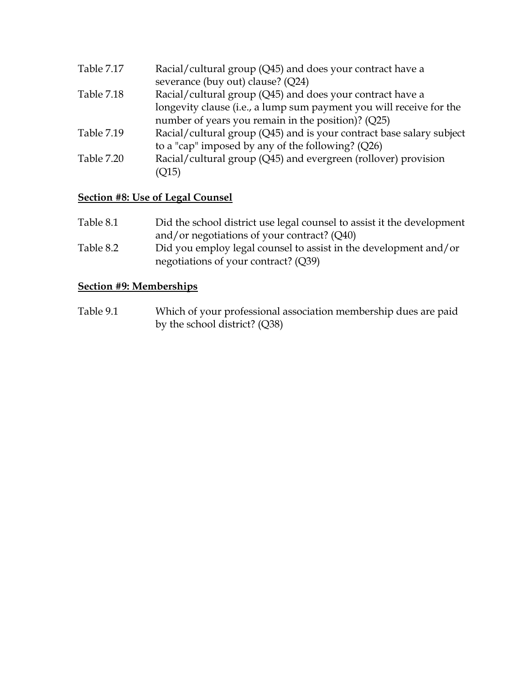| Table 7.17        | Racial/cultural group (Q45) and does your contract have a            |
|-------------------|----------------------------------------------------------------------|
|                   | severance (buy out) clause? (Q24)                                    |
| <b>Table 7.18</b> | Racial/cultural group (Q45) and does your contract have a            |
|                   | longevity clause (i.e., a lump sum payment you will receive for the  |
|                   | number of years you remain in the position)? (Q25)                   |
| Table 7.19        | Racial/cultural group (Q45) and is your contract base salary subject |
|                   | to a "cap" imposed by any of the following? (Q26)                    |
| Table 7.20        | Racial/cultural group (Q45) and evergreen (rollover) provision       |
|                   | (Q15)                                                                |

### **Section #8: Use of Legal Counsel**

| Table 8.1 | Did the school district use legal counsel to assist it the development |
|-----------|------------------------------------------------------------------------|
|           | and/or negotiations of your contract? $(Q40)$                          |
| Table 8.2 | Did you employ legal counsel to assist in the development and/or       |
|           | negotiations of your contract? (Q39)                                   |

#### **Section #9: Memberships**

Table 9.1 Which of your professional association membership dues are paid by the school district? (Q38)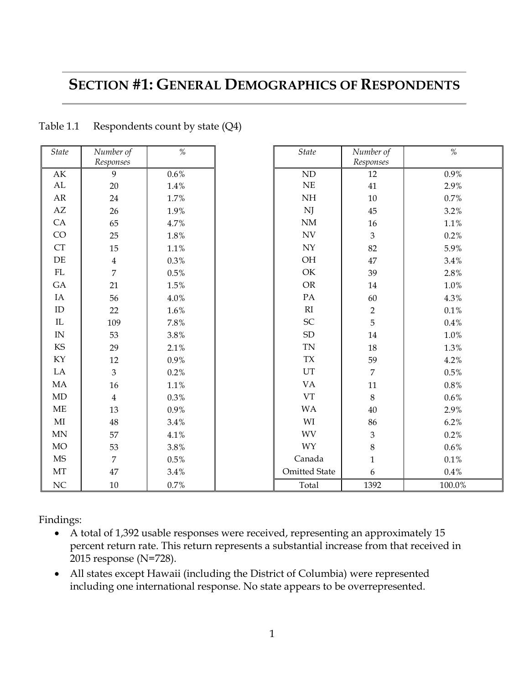### **SECTION #1: GENERAL DEMOGRAPHICS OF RESPONDENTS**

*%*

| State                    | Number of<br>Responses | %         | <i>State</i>                                     | Number of<br>Responses | %       |
|--------------------------|------------------------|-----------|--------------------------------------------------|------------------------|---------|
| $\mathbf{A}\mathbf{K}$   | 9                      | $0.6\%$   | $\mbox{ND}$                                      | 12                     | 0.9%    |
| AL                       | 20                     | 1.4%      | $\rm NE$                                         | 41                     | 2.9%    |
| AR                       | 24                     | 1.7%      | $\rm{NH}$                                        | 10                     | 0.7%    |
| AZ                       | 26                     | 1.9%      | NJ                                               | 45                     | 3.2%    |
| CA                       | 65                     | 4.7%      | $\mathrm{NM}$                                    | $16\,$                 | 1.1%    |
| CO                       | 25                     | 1.8%      | $\ensuremath{\text{NV}}$                         | $\mathfrak{Z}$         | 0.2%    |
| CT                       | 15                     | 1.1%      | ${\rm NY}$                                       | 82                     | 5.9%    |
| $\rm DE$                 | $\overline{4}$         | 0.3%      | OH                                               | 47                     | 3.4%    |
| ${\rm FL}$               | $\overline{7}$         | $0.5\%$   | OK                                               | 39                     | 2.8%    |
| GA                       | 21                     | 1.5%      | OR                                               | 14                     | 1.0%    |
| IA                       |                        |           | PA                                               |                        |         |
| $\rm ID$                 | 56                     | 4.0%      | RI                                               | 60                     | 4.3%    |
|                          | 22                     | 1.6%      |                                                  | $\overline{2}$         | $0.1\%$ |
| $\rm IL$                 | 109                    | 7.8%      | ${\rm SC}$                                       | 5                      | 0.4%    |
| $\ensuremath{\text{IN}}$ | 53                     | $3.8\%$   | ${\rm SD}$                                       | 14                     | 1.0%    |
| $\mathop{\mathrm{KS}}$   | 29                     | 2.1%      | $\ensuremath{\mathsf{T}}\ensuremath{\mathsf{N}}$ | 18                     | 1.3%    |
| KY                       | 12                     | $0.9\%$   | ${\rm T} {\rm X}$                                | 59                     | 4.2%    |
| LA                       | 3                      | 0.2%      | UT                                               | $\overline{7}$         | 0.5%    |
| MA                       | 16                     | 1.1%      | VA                                               | $11\,$                 | 0.8%    |
| $\mbox{MD}$              | $\overline{4}$         | 0.3%      | ${\rm VT}$                                       | $8\,$                  | 0.6%    |
| $\rm ME$                 | 13                     | $0.9\%$   | WA                                               | $40\,$                 | 2.9%    |
| $\rm MI$                 | $\bf 48$               | $3.4\,\%$ | WI                                               | 86                     | 6.2%    |
| $\mbox{MN}$              | 57                     | 4.1%      | <b>WV</b>                                        | $\mathfrak{Z}$         | 0.2%    |
| <b>MO</b>                | 53                     | $3.8\%$   | WY                                               | $8\,$                  | 0.6%    |
| MS                       | $\overline{7}$         | 0.5%      | Canada                                           | $\mathbf{1}$           | $0.1\%$ |
| $\rm{MT}$                | 47                     | 3.4%      | <b>Omitted State</b>                             | 6                      | $0.4\%$ |
|                          |                        |           |                                                  |                        |         |

Table 1.1 Respondents count by state (Q4)

Findings:

F

 A total of 1,392 usable responses were received, representing an approximately 15 percent return rate. This return represents a substantial increase from that received in 2015 response (N=728).

NC 10 0.7% 1 Total 1392 100.0%

 All states except Hawaii (including the District of Columbia) were represented including one international response. No state appears to be overrepresented.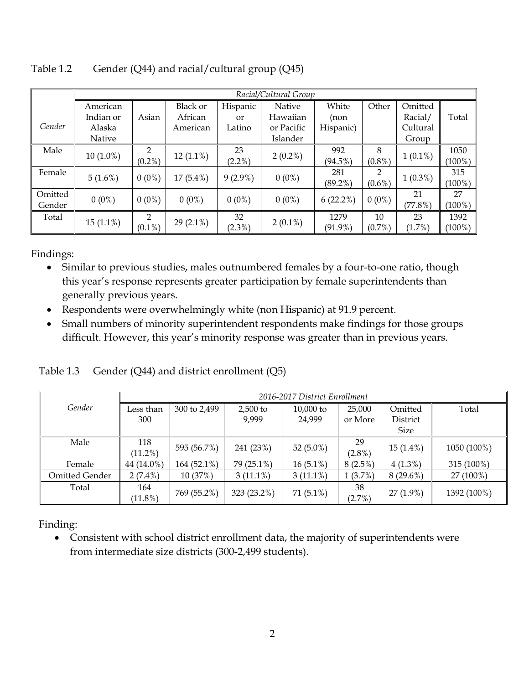|         | Racial/Cultural Group |                |                 |            |            |             |           |            |           |
|---------|-----------------------|----------------|-----------------|------------|------------|-------------|-----------|------------|-----------|
|         | American              |                | <b>Black or</b> | Hispanic   | Native     | White       | Other     | Omitted    |           |
|         | Indian or             | Asian          | African         | or         | Hawaiian   | (non        |           | Racial/    | Total     |
| Gender  | Alaska                |                | American        | Latino     | or Pacific | Hispanic)   |           | Cultural   |           |
|         | <b>Native</b>         |                |                 |            | Islander   |             |           | Group      |           |
| Male    |                       | $\mathfrak{D}$ |                 | 23         |            | 992         | 8         |            | 1050      |
|         | $10(1.0\%)$           | $(0.2\%)$      | $12(1.1\%)$     | $(2.2\%)$  | $2(0.2\%)$ | (94.5%)     | $(0.8\%)$ | $1(0.1\%)$ | $(100\%)$ |
| Female  | $5(1.6\%)$            | $0(0\%)$       | $17(5.4\%)$     | $9(2.9\%)$ | $0(0\%)$   | 281         | 2         | $1(0.3\%)$ | 315       |
|         |                       |                |                 |            |            | $(89.2\%)$  | $(0.6\%)$ |            | $(100\%)$ |
| Omitted | $0(0\%)$              | $0(0\%)$       | $0(0\%)$        | $0(0\%)$   | $0(0\%)$   | $6(22.2\%)$ | $0(0\%)$  | 21         | 27        |
| Gender  |                       |                |                 |            |            |             |           | (77.8%)    | $(100\%)$ |
| Total   |                       | $\mathfrak{D}$ |                 | 32         |            | 1279        | 10        | 23         | 1392      |
|         | $15(1.1\%)$           | $(0.1\%)$      | $29(2.1\%)$     | $(2.3\%)$  | $2(0.1\%)$ | $(91.9\%)$  | $(0.7\%)$ | (1.7%)     | $(100\%)$ |

Table 1.2 Gender (Q44) and racial/cultural group (Q45)

- Similar to previous studies, males outnumbered females by a four-to-one ratio, though this year's response represents greater participation by female superintendents than generally previous years.
- Respondents were overwhelmingly white (non Hispanic) at 91.9 percent.
- Small numbers of minority superintendent respondents make findings for those groups difficult. However, this year's minority response was greater than in previous years.

|  | Table 1.3 Gender (Q44) and district enrollment (Q5) |
|--|-----------------------------------------------------|
|--|-----------------------------------------------------|

|                | 2016-2017 District Enrollment |              |             |              |            |             |             |  |
|----------------|-------------------------------|--------------|-------------|--------------|------------|-------------|-------------|--|
| Gender         | Less than                     | 300 to 2,499 | $2,500$ to  | $10,000$ to  | 25,000     | Omitted     | Total       |  |
|                | 300                           |              | 9,999       | 24,999       | or More    | District    |             |  |
|                |                               |              |             |              |            | <b>Size</b> |             |  |
| Male           | 118                           | 595 (56.7%)  | 241 (23%)   | 52 $(5.0\%)$ | 29         | $15(1.4\%)$ | 1050 (100%) |  |
|                | $(11.2\%)$                    |              |             |              | $(2.8\%)$  |             |             |  |
| Female         | 44 (14.0%)                    | 164 (52.1%)  | 79 (25.1%)  | $16(5.1\%)$  | $8(2.5\%)$ | $4(1.3\%)$  | 315 (100%)  |  |
| Omitted Gender | $2(7.4\%)$                    | 10 (37%)     | $3(11.1\%)$ | $3(11.1\%)$  | $1(3.7\%)$ | $8(29.6\%)$ | 27 (100%)   |  |
| Total          | 164                           |              |             |              | -38        |             |             |  |
|                | $(11.8\%)$                    | 769 (55.2%)  | 323 (23.2%) | $71(5.1\%)$  | $(2.7\%)$  | $27(1.9\%)$ | 1392 (100%) |  |

Finding:

 Consistent with school district enrollment data, the majority of superintendents were from intermediate size districts (300-2,499 students).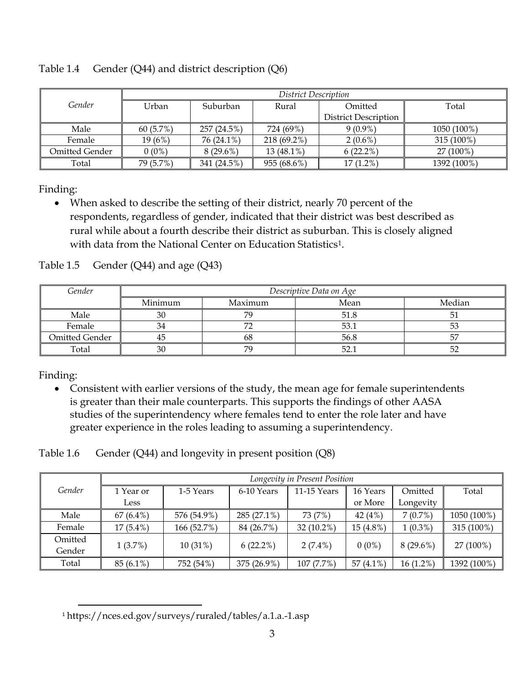|                | District Description |             |             |                             |             |  |  |  |  |
|----------------|----------------------|-------------|-------------|-----------------------------|-------------|--|--|--|--|
| Gender         | Urban                | Suburban    | Rural       | Omitted                     | Total       |  |  |  |  |
|                |                      |             |             | <b>District Description</b> |             |  |  |  |  |
| Male           | 60(5.7%)             | 257 (24.5%) | 724 (69%)   | $9(0.9\%)$                  | 1050 (100%) |  |  |  |  |
| Female         | $19(6\%)$            | 76 (24.1%)  | 218 (69.2%) | $2(0.6\%)$                  | 315 (100%)  |  |  |  |  |
| Omitted Gender | $0(0\%)$             | $8(29.6\%)$ | 13 (48.1%)  | 6(22.2%)                    | 27 (100%)   |  |  |  |  |
| Total          | 79 (5.7%)            | 341 (24.5%) | 955 (68.6%) | $17(1.2\%)$                 | 1392 (100%) |  |  |  |  |

Table 1.4 Gender (Q44) and district description (Q6)

 When asked to describe the setting of their district, nearly 70 percent of the respondents, regardless of gender, indicated that their district was best described as rural while about a fourth describe their district as suburban. This is closely aligned with data from the National Center on Education Statistics<sup>1</sup>.

| Gender                | Descriptive Data on Age |         |      |        |  |  |  |  |  |
|-----------------------|-------------------------|---------|------|--------|--|--|--|--|--|
|                       | Minimum                 | Maximum | Mean | Median |  |  |  |  |  |
| Male                  | 30                      | 70      | 51.8 |        |  |  |  |  |  |
| Female                | 34                      |         | 53.1 | 53     |  |  |  |  |  |
| <b>Omitted Gender</b> | 45                      | 68      | 56.8 |        |  |  |  |  |  |
| Total                 | 30                      | 70      | 52.1 |        |  |  |  |  |  |

Table  $1.5$  Gender (Q44) and age (Q43)

Finding:

 Consistent with earlier versions of the study, the mean age for female superintendents is greater than their male counterparts. This supports the findings of other AASA studies of the superintendency where females tend to enter the role later and have greater experience in the roles leading to assuming a superintendency.

Table 1.6 Gender (Q44) and longevity in present position (Q8)

|         | Longevity in Present Position |             |             |             |              |             |             |  |  |  |
|---------|-------------------------------|-------------|-------------|-------------|--------------|-------------|-------------|--|--|--|
| Gender  | 1 Year or                     | 1-5 Years   | 6-10 Years  | 11-15 Years | 16 Years     | Omitted     | Total       |  |  |  |
|         | Less                          |             |             |             | or More      | Longevity   |             |  |  |  |
| Male    | $67(6.4\%)$                   | 576 (54.9%) | 285 (27.1%) | 73 (7%)     | 42 $(4%)$    | 7(0.7%)     | 1050 (100%) |  |  |  |
| Female  | $17(5.4\%)$                   | 166 (52.7%) | 84 (26.7%)  | 32 (10.2%)  | $15(4.8\%)$  | $1(0.3\%)$  | 315 (100%)  |  |  |  |
| Omitted |                               |             |             |             |              |             |             |  |  |  |
| Gender  | 1(3.7%)                       | $10(31\%)$  | $6(22.2\%)$ | $2(7.4\%)$  | $0(0\%)$     | $8(29.6\%)$ | 27 (100%)   |  |  |  |
| Total   | 85 (6.1%)                     | 752 (54%)   | 375 (26.9%) | 107 (7.7%)  | 57 $(4.1\%)$ | $16(1.2\%)$ | 1392 (100%) |  |  |  |

 $\overline{a}$ <sup>1</sup> https://nces.ed.gov/surveys/ruraled/tables/a.1.a.-1.asp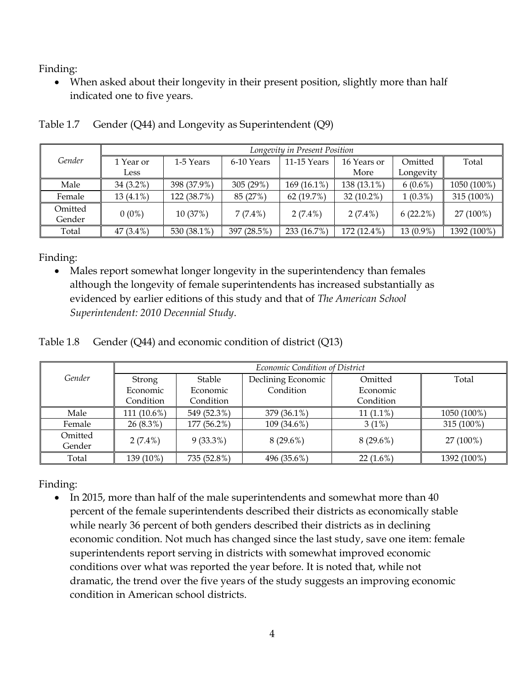When asked about their longevity in their present position, slightly more than half indicated one to five years.

|         | Longevity in Present Position |             |             |               |              |             |             |  |  |  |
|---------|-------------------------------|-------------|-------------|---------------|--------------|-------------|-------------|--|--|--|
| Gender  | 1 Year or                     | 1-5 Years   | 6-10 Years  | $11-15$ Years | 16 Years or  | Omitted     | Total       |  |  |  |
|         | Less                          |             |             |               | More         | Longevity   |             |  |  |  |
| Male    | 34 (3.2%)                     | 398 (37.9%) | 305(29%)    | 169 (16.1%)   | 138 (13.1%)  | $6(0.6\%)$  | 1050 (100%) |  |  |  |
| Female  | $13(4.1\%)$                   | 122 (38.7%) | 85 (27%)    | 62(19.7%)     | $32(10.2\%)$ | $1(0.3\%)$  | 315 (100%)  |  |  |  |
| Omitted |                               |             |             |               |              |             |             |  |  |  |
| Gender  | $0(0\%)$                      | 10 (37%)    | $7(7.4\%)$  | $2(7.4\%)$    | $2(7.4\%)$   | $6(22.2\%)$ | 27 (100%)   |  |  |  |
| Total   | 47 (3.4%)                     | 530 (38.1%) | 397 (28.5%) | 233 (16.7%)   | 172 (12.4%)  | 13 (0.9%)   | 1392 (100%) |  |  |  |

Table 1.7 Gender (Q44) and Longevity as Superintendent (Q9)

Finding:

• Males report somewhat longer longevity in the superintendency than females although the longevity of female superintendents has increased substantially as evidenced by earlier editions of this study and that of *The American School Superintendent: 2010 Decennial Study*.

Table 1.8 Gender (Q44) and economic condition of district (Q13)

|                   | Economic Condition of District |             |                    |             |             |  |  |  |  |
|-------------------|--------------------------------|-------------|--------------------|-------------|-------------|--|--|--|--|
| Gender            | Strong                         | Stable      | Declining Economic | Omitted     | Total       |  |  |  |  |
|                   | Economic                       | Economic    | Condition          | Economic    |             |  |  |  |  |
|                   | Condition                      | Condition   |                    | Condition   |             |  |  |  |  |
| Male              | 111 (10.6%)                    | 549 (52.3%) | 379 (36.1%)        | $11(1.1\%)$ | 1050 (100%) |  |  |  |  |
| Female            | $26(8.3\%)$                    | 177 (56.2%) | 109 (34.6%)        | 3(1%)       | 315 (100%)  |  |  |  |  |
| Omitted<br>Gender | $2(7.4\%)$                     | $9(33.3\%)$ | $8(29.6\%)$        | $8(29.6\%)$ | 27 (100%)   |  |  |  |  |
| Total             | 139 (10%)                      | 735 (52.8%) | 496 (35.6%)        | $22(1.6\%)$ | 1392 (100%) |  |  |  |  |

Finding:

• In 2015, more than half of the male superintendents and somewhat more than 40 percent of the female superintendents described their districts as economically stable while nearly 36 percent of both genders described their districts as in declining economic condition. Not much has changed since the last study, save one item: female superintendents report serving in districts with somewhat improved economic conditions over what was reported the year before. It is noted that, while not dramatic, the trend over the five years of the study suggests an improving economic condition in American school districts.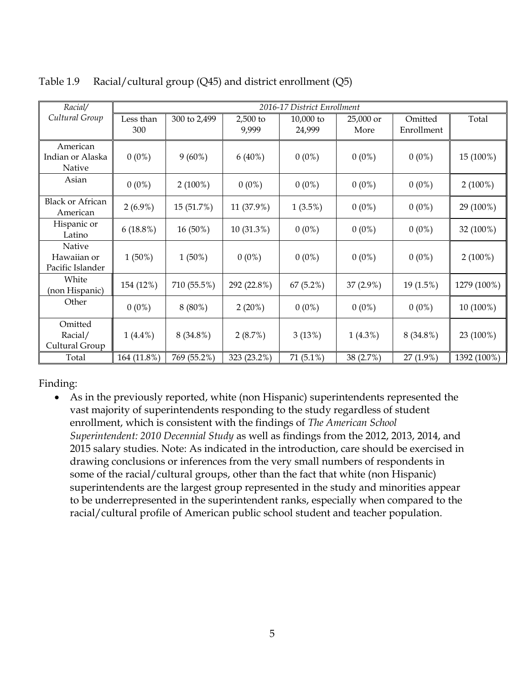| Racial/                                   |                  | 2016-17 District Enrollment |                   |                     |                   |                       |             |  |  |  |
|-------------------------------------------|------------------|-----------------------------|-------------------|---------------------|-------------------|-----------------------|-------------|--|--|--|
| Cultural Group                            | Less than<br>300 | 300 to 2,499                | 2,500 to<br>9,999 | 10,000 to<br>24,999 | 25,000 or<br>More | Omitted<br>Enrollment | Total       |  |  |  |
| American<br>Indian or Alaska<br>Native    | $0(0\%)$         | $9(60\%)$                   | $6(40\%)$         | $0(0\%)$            | $0(0\%)$          | $0(0\%)$              | 15 (100%)   |  |  |  |
| Asian                                     | $0(0\%)$         | $2(100\%)$                  | $0(0\%)$          | $0(0\%)$            | $0(0\%)$          | $0(0\%)$              | $2(100\%)$  |  |  |  |
| <b>Black or African</b><br>American       | $2(6.9\%)$       | 15 (51.7%)                  | 11 (37.9%)        | $1(3.5\%)$          | $0(0\%)$          | $0(0\%)$              | 29 (100%)   |  |  |  |
| Hispanic or<br>Latino                     | $6(18.8\%)$      | 16 (50%)                    | 10 (31.3%)        | $0(0\%)$            | $0(0\%)$          | $0(0\%)$              | 32 (100%)   |  |  |  |
| Native<br>Hawaiian or<br>Pacific Islander | $1(50\%)$        | $1(50\%)$                   | $0(0\%)$          | $0(0\%)$            | $0(0\%)$          | $0(0\%)$              | $2(100\%)$  |  |  |  |
| White<br>(non Hispanic)                   | 154 (12%)        | 710 (55.5%)                 | 292 (22.8%)       | 67(5.2%)            | 37 (2.9%)         | 19 (1.5%)             | 1279 (100%) |  |  |  |
| Other                                     | $0(0\%)$         | $8(80\%)$                   | $2(20\%)$         | $0(0\%)$            | $0(0\%)$          | $0(0\%)$              | 10 (100%)   |  |  |  |
| Omitted<br>Racial/<br>Cultural Group      | $1(4.4\%)$       | 8 (34.8%)                   | 2(8.7%)           | 3(13%)              | $1(4.3\%)$        | 8 (34.8%)             | 23 (100%)   |  |  |  |
| Total                                     | 164 (11.8%)      | 769 (55.2%)                 | 323 (23.2%)       | $71(5.1\%)$         | 38 (2.7%)         | $27(1.9\%)$           | 1392 (100%) |  |  |  |

Table 1.9 Racial/cultural group (Q45) and district enrollment (Q5)

 As in the previously reported, white (non Hispanic) superintendents represented the vast majority of superintendents responding to the study regardless of student enrollment, which is consistent with the findings of *The American School Superintendent: 2010 Decennial Study* as well as findings from the 2012, 2013, 2014, and 2015 salary studies. Note: As indicated in the introduction, care should be exercised in drawing conclusions or inferences from the very small numbers of respondents in some of the racial/cultural groups, other than the fact that white (non Hispanic) superintendents are the largest group represented in the study and minorities appear to be underrepresented in the superintendent ranks, especially when compared to the racial/cultural profile of American public school student and teacher population.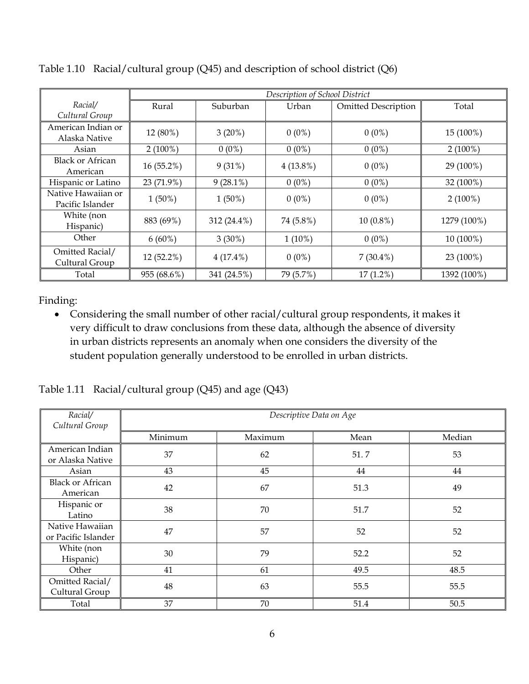|                                        |             |             | Description of School District |                            |             |
|----------------------------------------|-------------|-------------|--------------------------------|----------------------------|-------------|
| Racial/<br>Cultural Group              | Rural       | Suburban    | Urban                          | <b>Omitted Description</b> | Total       |
| American Indian or<br>Alaska Native    | 12 (80%)    | 3(20%)      | $0(0\%)$                       | $0(0\%)$                   | 15 (100%)   |
| Asian                                  | $2(100\%)$  | $0(0\%)$    | $0(0\%)$                       | $0(0\%)$                   | $2(100\%)$  |
| <b>Black or African</b><br>American    | 16 (55.2%)  | 9(31%)      | $4(13.8\%)$                    | $0(0\%)$                   | 29 (100%)   |
| Hispanic or Latino                     | 23 (71.9%)  | $9(28.1\%)$ | $0(0\%)$                       | $0(0\%)$                   | 32 (100%)   |
| Native Hawaiian or<br>Pacific Islander | $1(50\%)$   | $1(50\%)$   | $0(0\%)$                       | $0(0\%)$                   | $2(100\%)$  |
| White (non<br>Hispanic)                | 883 (69%)   | 312 (24.4%) | 74 (5.8%)                      | $10(0.8\%)$                | 1279 (100%) |
| Other                                  | $6(60\%)$   | $3(30\%)$   | $1(10\%)$                      | $0(0\%)$                   | 10 (100%)   |
| Omitted Racial/<br>Cultural Group      | 12 (52.2%)  | $4(17.4\%)$ | $0(0\%)$                       | $7(30.4\%)$                | 23 (100%)   |
| Total                                  | 955 (68.6%) | 341 (24.5%) | 79 (5.7%)                      | $17(1.2\%)$                | 1392 (100%) |

Table 1.10 Racial/cultural group (Q45) and description of school district (Q6)

 Considering the small number of other racial/cultural group respondents, it makes it very difficult to draw conclusions from these data, although the absence of diversity in urban districts represents an anomaly when one considers the diversity of the student population generally understood to be enrolled in urban districts.

Table 1.11 Racial/cultural group (Q45) and age (Q43)

| Racial/<br>Cultural Group              | Descriptive Data on Age |         |      |        |  |  |  |  |  |
|----------------------------------------|-------------------------|---------|------|--------|--|--|--|--|--|
|                                        | Minimum                 | Maximum | Mean | Median |  |  |  |  |  |
| American Indian<br>or Alaska Native    | 37                      | 62      | 51.7 | 53     |  |  |  |  |  |
| Asian                                  | 43                      | 45      | 44   | 44     |  |  |  |  |  |
| <b>Black or African</b><br>American    | 42                      | 67      | 51.3 | 49     |  |  |  |  |  |
| Hispanic or<br>Latino                  | 38                      | 70      | 51.7 | 52     |  |  |  |  |  |
| Native Hawaiian<br>or Pacific Islander | 47                      | 57      | 52   | 52     |  |  |  |  |  |
| White (non<br>Hispanic)                | 30                      | 79      | 52.2 | 52     |  |  |  |  |  |
| Other                                  | 41                      | 61      | 49.5 | 48.5   |  |  |  |  |  |
| Omitted Racial/<br>Cultural Group      | 48                      | 63      | 55.5 | 55.5   |  |  |  |  |  |
| Total                                  | 37                      | 70      | 51.4 | 50.5   |  |  |  |  |  |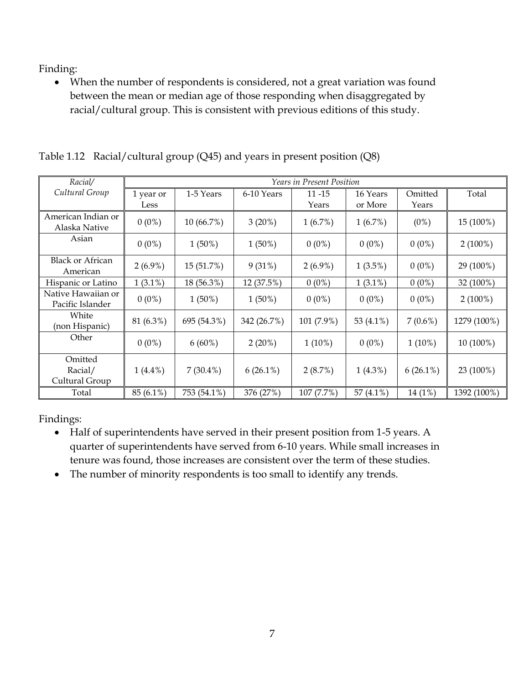When the number of respondents is considered, not a great variation was found between the mean or median age of those responding when disaggregated by racial/cultural group. This is consistent with previous editions of this study.

|  |  |  |  | Table 1.12 Racial/cultural group (Q45) and years in present position (Q8) |  |
|--|--|--|--|---------------------------------------------------------------------------|--|
|--|--|--|--|---------------------------------------------------------------------------|--|

| Racial/                                | <b>Years in Present Position</b> |             |             |                    |                     |                  |             |  |  |
|----------------------------------------|----------------------------------|-------------|-------------|--------------------|---------------------|------------------|-------------|--|--|
| Cultural Group                         | 1 year or<br>Less                | 1-5 Years   | 6-10 Years  | $11 - 15$<br>Years | 16 Years<br>or More | Omitted<br>Years | Total       |  |  |
| American Indian or<br>Alaska Native    | $0(0\%)$                         | 10 (66.7%)  | $3(20\%)$   | 1(6.7%)            | 1(6.7%)             | (0%)             | 15 (100%)   |  |  |
| Asian                                  | $0(0\%)$                         | $1(50\%)$   | $1(50\%)$   | $0(0\%)$           | $0(0\%)$            | $0(0\%)$         | $2(100\%)$  |  |  |
| <b>Black or African</b><br>American    | $2(6.9\%)$                       | 15 (51.7%)  | 9(31%)      | $2(6.9\%)$         | $1(3.5\%)$          | $0(0\%)$         | 29 (100%)   |  |  |
| Hispanic or Latino                     | $1(3.1\%)$                       | 18 (56.3%)  | 12 (37.5%)  | $0(0\%)$           | $1(3.1\%)$          | $0(0\%)$         | 32 (100%)   |  |  |
| Native Hawaiian or<br>Pacific Islander | $0(0\%)$                         | $1(50\%)$   | $1(50\%)$   | $0(0\%)$           | $0(0\%)$            | $0(0\%)$         | $2(100\%)$  |  |  |
| White<br>(non Hispanic)                | 81 (6.3%)                        | 695 (54.3%) | 342 (26.7%) | 101 (7.9%)         | 53 (4.1%)           | $7(0.6\%)$       | 1279 (100%) |  |  |
| Other                                  | $0(0\%)$                         | $6(60\%)$   | $2(20\%)$   | $1(10\%)$          | $0(0\%)$            | $1(10\%)$        | 10 (100%)   |  |  |
| Omitted<br>Racial/<br>Cultural Group   | $1(4.4\%)$                       | $7(30.4\%)$ | $6(26.1\%)$ | 2(8.7%)            | $1(4.3\%)$          | $6(26.1\%)$      | 23 (100%)   |  |  |
| Total                                  | 85 (6.1%)                        | 753 (54.1%) | 376 (27%)   | 107 (7.7%)         | 57 $(4.1\%)$        | 14 (1%)          | 1392 (100%) |  |  |

Findings:

- Half of superintendents have served in their present position from 1-5 years. A quarter of superintendents have served from 6-10 years. While small increases in tenure was found, those increases are consistent over the term of these studies.
- The number of minority respondents is too small to identify any trends.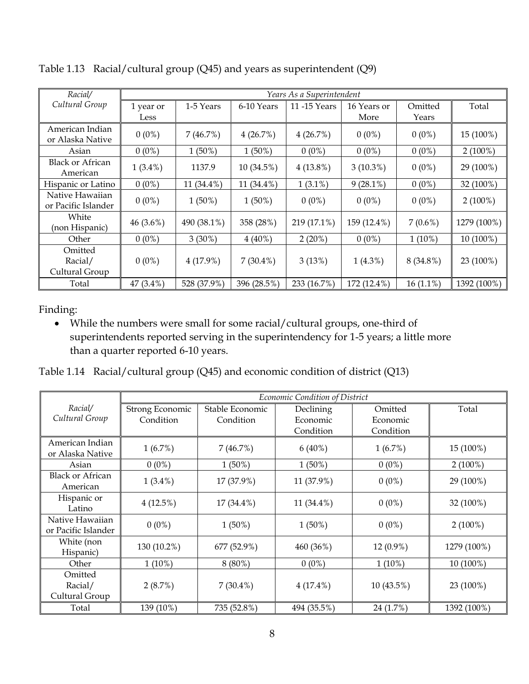| Racial/                                |            |             |             | Years As a Superintendent  |             |             |             |
|----------------------------------------|------------|-------------|-------------|----------------------------|-------------|-------------|-------------|
| Cultural Group                         | 1 year or  | 1-5 Years   | 6-10 Years  | 11-15 Years<br>16 Years or |             | Omitted     | Total       |
|                                        | Less       |             |             |                            | More        | Years       |             |
| American Indian<br>or Alaska Native    | $0(0\%)$   | 7(46.7%)    | 4(26.7%)    | 4(26.7%)                   | $0(0\%)$    | $0(0\%)$    | 15 (100%)   |
| Asian                                  | $0(0\%)$   | $1(50\%)$   | $1(50\%)$   | $0(0\%)$                   | $0(0\%)$    | $0(0\%)$    | $2(100\%)$  |
| <b>Black or African</b><br>American    | $1(3.4\%)$ | 1137.9      | 10 (34.5%)  | $4(13.8\%)$                | $3(10.3\%)$ | $0(0\%)$    | 29 (100%)   |
| Hispanic or Latino                     | $0(0\%)$   | 11 (34.4%)  | 11 (34.4%)  | $1(3.1\%)$                 | $9(28.1\%)$ | $0(0\%)$    | 32 (100%)   |
| Native Hawaiian<br>or Pacific Islander | $0(0\%)$   | $1(50\%)$   | $1(50\%)$   | $0(0\%)$                   | $0(0\%)$    | $0(0\%)$    | $2(100\%)$  |
| White<br>(non Hispanic)                | 46 (3.6%)  | 490 (38.1%) | 358 (28%)   | 219 (17.1%)                | 159 (12.4%) | $7(0.6\%)$  | 1279 (100%) |
| Other                                  | $0(0\%)$   | $3(30\%)$   | $4(40\%)$   | $2(20\%)$                  | $0(0\%)$    | $1(10\%)$   | 10 (100%)   |
| Omitted<br>Racial/<br>Cultural Group   | $0(0\%)$   | 4(17.9%)    | $7(30.4\%)$ | 3(13%)                     | $1(4.3\%)$  | 8 (34.8%)   | 23 (100%)   |
| Total                                  | 47 (3.4%)  | 528 (37.9%) | 396 (28.5%) | 233 (16.7%)                | 172 (12.4%) | $16(1.1\%)$ | 1392 (100%) |

Table 1.13 Racial/cultural group (Q45) and years as superintendent (Q9)

 While the numbers were small for some racial/cultural groups, one-third of superintendents reported serving in the superintendency for 1-5 years; a little more than a quarter reported 6-10 years.

Table 1.14 Racial/cultural group (Q45) and economic condition of district (Q13)

|                         |                 |                 | Economic Condition of District |            |             |
|-------------------------|-----------------|-----------------|--------------------------------|------------|-------------|
| Racial/                 | Strong Economic | Stable Economic | Declining                      | Omitted    | Total       |
| Cultural Group          | Condition       | Condition       | Economic                       | Economic   |             |
|                         |                 |                 | Condition                      | Condition  |             |
| American Indian         | 1(6.7%)         | 7(46.7%)        | $6(40\%)$                      | 1(6.7%)    | 15 (100%)   |
| or Alaska Native        |                 |                 |                                |            |             |
| Asian                   | $0(0\%)$        | $1(50\%)$       | $1(50\%)$                      | $0(0\%)$   | $2(100\%)$  |
| <b>Black or African</b> | $1(3.4\%)$      | 17 (37.9%)      | 11 (37.9%)                     | $0(0\%)$   | 29 (100%)   |
| American                |                 |                 |                                |            |             |
| Hispanic or             | 4(12.5%)        | 17 (34.4%)      | 11 (34.4%)                     | $0(0\%)$   | 32 (100%)   |
| Latino                  |                 |                 |                                |            |             |
| Native Hawaiian         | $0(0\%)$        | $1(50\%)$       | $1(50\%)$                      | $0(0\%)$   | $2(100\%)$  |
| or Pacific Islander     |                 |                 |                                |            |             |
| White (non              | 130 (10.2%)     | 677 (52.9%)     | 460 (36%)                      | 12 (0.9%)  | 1279 (100%) |
| Hispanic)               |                 |                 |                                |            |             |
| Other                   | $1(10\%)$       | $8(80\%)$       | $0(0\%)$                       | $1(10\%)$  | 10 (100%)   |
| Omitted                 |                 |                 |                                |            |             |
| Racial/                 | 2(8.7%)         | $7(30.4\%)$     | $4(17.4\%)$                    | 10 (43.5%) | 23 (100%)   |
| Cultural Group          |                 |                 |                                |            |             |
| Total                   | 139 (10%)       | 735 (52.8%)     | 494 (35.5%)                    | 24 (1.7%)  | 1392 (100%) |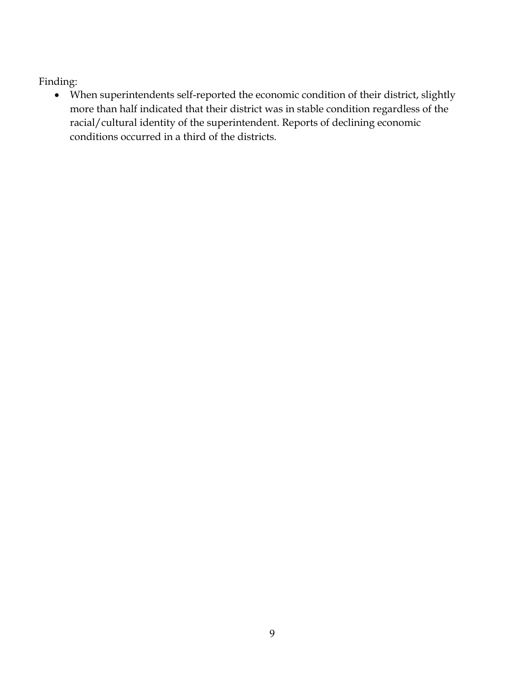When superintendents self-reported the economic condition of their district, slightly more than half indicated that their district was in stable condition regardless of the racial/cultural identity of the superintendent. Reports of declining economic conditions occurred in a third of the districts.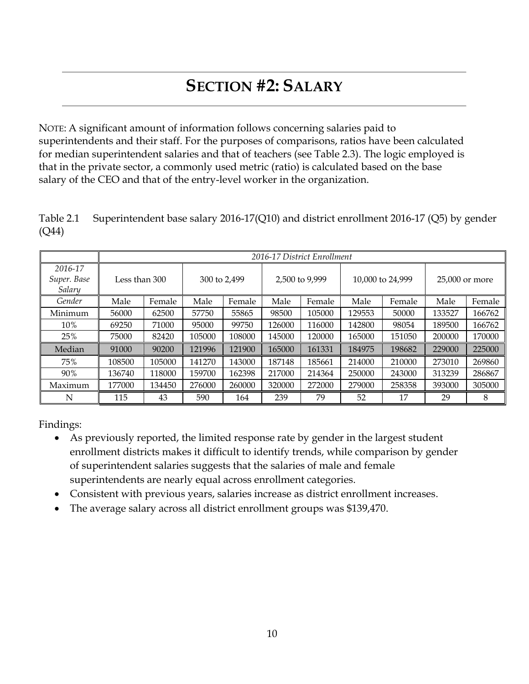# **SECTION #2: SALARY**

NOTE: A significant amount of information follows concerning salaries paid to superintendents and their staff. For the purposes of comparisons, ratios have been calculated for median superintendent salaries and that of teachers (see Table 2.3). The logic employed is that in the private sector, a commonly used metric (ratio) is calculated based on the base salary of the CEO and that of the entry-level worker in the organization.

Table 2.1 Superintendent base salary 2016-17(Q10) and district enrollment 2016-17 (Q5) by gender (Q44)

|                                  |               |        |              |        |                | 2016-17 District Enrollment |                  |        |                |        |
|----------------------------------|---------------|--------|--------------|--------|----------------|-----------------------------|------------------|--------|----------------|--------|
| 2016-17<br>Super. Base<br>Salary | Less than 300 |        | 300 to 2,499 |        | 2,500 to 9,999 |                             | 10,000 to 24,999 |        | 25,000 or more |        |
| Gender                           | Male          | Female | Male         | Female | Male           | Female                      | Male             | Female | Male           | Female |
| Minimum                          | 56000         | 62500  | 57750        | 55865  | 98500          | 105000                      | 129553           | 50000  | 133527         | 166762 |
| 10%                              | 69250         | 71000  | 95000        | 99750  | 126000         | 116000                      | 142800           | 98054  | 189500         | 166762 |
| 25%                              | 75000         | 82420  | 105000       | 108000 | 145000         | 120000                      | 165000           | 151050 | 200000         | 170000 |
| Median                           | 91000         | 90200  | 121996       | 121900 | 165000         | 161331                      | 184975           | 198682 | 229000         | 225000 |
| 75%                              | 108500        | 105000 | 141270       | 143000 | 187148         | 185661                      | 214000           | 210000 | 273010         | 269860 |
| 90%                              | 136740        | 118000 | 159700       | 162398 | 217000         | 214364                      | 250000           | 243000 | 313239         | 286867 |
| Maximum                          | 177000        | 134450 | 276000       | 260000 | 320000         | 272000                      | 279000           | 258358 | 393000         | 305000 |
| N                                | 115           | 43     | 590          | 164    | 239            | 79                          | 52               | 17     | 29             | 8      |

Findings:

- As previously reported, the limited response rate by gender in the largest student enrollment districts makes it difficult to identify trends, while comparison by gender of superintendent salaries suggests that the salaries of male and female superintendents are nearly equal across enrollment categories.
- Consistent with previous years, salaries increase as district enrollment increases.
- The average salary across all district enrollment groups was \$139,470.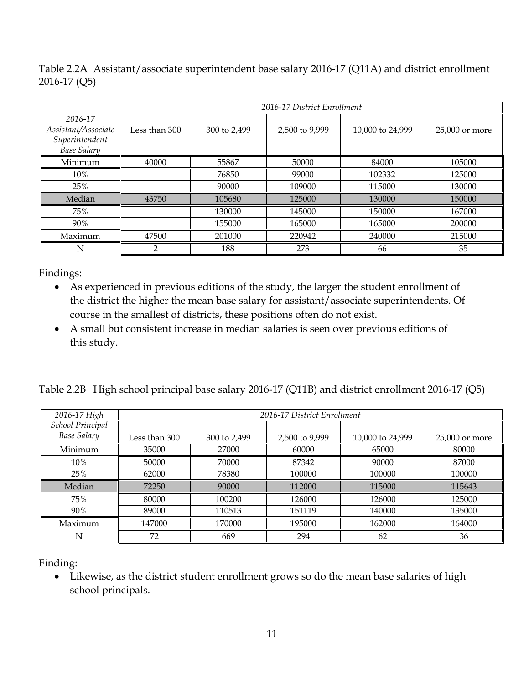Table 2.2A Assistant/associate superintendent base salary 2016-17 (Q11A) and district enrollment 2016-17 (Q5)

|                                                                        | 2016-17 District Enrollment |              |                |                  |                |
|------------------------------------------------------------------------|-----------------------------|--------------|----------------|------------------|----------------|
| 2016-17<br>Assistant/Associate<br>Superintendent<br><b>Base Salary</b> | Less than 300               | 300 to 2,499 | 2,500 to 9,999 | 10,000 to 24,999 | 25,000 or more |
| Minimum                                                                | 40000                       | 55867        | 50000          | 84000            | 105000         |
| 10%                                                                    |                             | 76850        | 99000          | 102332           | 125000         |
| 25%                                                                    |                             | 90000        | 109000         | 115000           | 130000         |
| Median                                                                 | 43750                       | 105680       | 125000         | 130000           | 150000         |
| 75%                                                                    |                             | 130000       | 145000         | 150000           | 167000         |
| 90%                                                                    |                             | 155000       | 165000         | 165000           | 200000         |
| Maximum                                                                | 47500                       | 201000       | 220942         | 240000           | 215000         |
| N                                                                      | $\mathcal{P}$               | 188          | 273            | 66               | 35             |

- As experienced in previous editions of the study, the larger the student enrollment of the district the higher the mean base salary for assistant/associate superintendents. Of course in the smallest of districts, these positions often do not exist.
- A small but consistent increase in median salaries is seen over previous editions of this study.

Table 2.2B High school principal base salary 2016-17 (Q11B) and district enrollment 2016-17 (Q5)

| 2016-17 High                           | 2016-17 District Enrollment |              |                |                  |                |
|----------------------------------------|-----------------------------|--------------|----------------|------------------|----------------|
| School Principal<br><b>Base Salary</b> | Less than 300               | 300 to 2,499 | 2,500 to 9,999 | 10,000 to 24,999 | 25,000 or more |
| Minimum                                | 35000                       | 27000        | 60000          | 65000            | 80000          |
| 10%                                    | 50000                       | 70000        | 87342          | 90000            | 87000          |
| 25%                                    | 62000                       | 78380        | 100000         | 100000           | 100000         |
| Median                                 | 72250                       | 90000        | 112000         | 115000           | 115643         |
| 75%                                    | 80000                       | 100200       | 126000         | 126000           | 125000         |
| 90%                                    | 89000                       | 110513       | 151119         | 140000           | 135000         |
| Maximum                                | 147000                      | 170000       | 195000         | 162000           | 164000         |
| N                                      | 72                          | 669          | 294            | 62               | 36             |

Finding:

 Likewise, as the district student enrollment grows so do the mean base salaries of high school principals.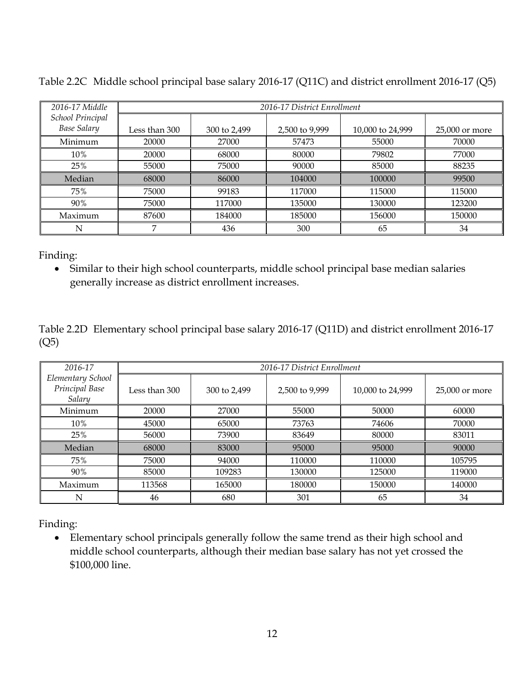| 2016-17 Middle                         | 2016-17 District Enrollment |              |                |                  |                  |
|----------------------------------------|-----------------------------|--------------|----------------|------------------|------------------|
| School Principal<br><b>Base Salary</b> | Less than 300               | 300 to 2,499 | 2,500 to 9,999 | 10,000 to 24,999 | $25,000$ or more |
| Minimum                                | 20000                       | 27000        | 57473          | 55000            | 70000            |
| 10%                                    | 20000                       | 68000        | 80000          | 79802            | 77000            |
| 25%                                    | 55000                       | 75000        | 90000          | 85000            | 88235            |
| Median                                 | 68000                       | 86000        | 104000         | 100000           | 99500            |
| 75%                                    | 75000                       | 99183        | 117000         | 115000           | 115000           |
| 90%                                    | 75000                       | 117000       | 135000         | 130000           | 123200           |
| Maximum                                | 87600                       | 184000       | 185000         | 156000           | 150000           |
| N                                      | ⇁                           | 436          | 300            | 65               | 34               |

Table 2.2C Middle school principal base salary 2016-17 (Q11C) and district enrollment 2016-17 (Q5)

 Similar to their high school counterparts, middle school principal base median salaries generally increase as district enrollment increases.

Table 2.2D Elementary school principal base salary 2016-17 (Q11D) and district enrollment 2016-17 (Q5)

| 2016-17                                       | 2016-17 District Enrollment |              |                |                  |                |
|-----------------------------------------------|-----------------------------|--------------|----------------|------------------|----------------|
| Elementary School<br>Principal Base<br>Salary | Less than 300               | 300 to 2,499 | 2,500 to 9,999 | 10,000 to 24,999 | 25,000 or more |
| Minimum                                       | 20000                       | 27000        | 55000          | 50000            | 60000          |
| 10%                                           | 45000                       | 65000        | 73763          | 74606            | 70000          |
| 25%                                           | 56000                       | 73900        | 83649          | 80000            | 83011          |
| Median                                        | 68000                       | 83000        | 95000          | 95000            | 90000          |
| 75%                                           | 75000                       | 94000        | 110000         | 110000           | 105795         |
| 90%                                           | 85000                       | 109283       | 130000         | 125000           | 119000         |
| Maximum                                       | 113568                      | 165000       | 180000         | 150000           | 140000         |
| N                                             | 46                          | 680          | 301            | 65               | 34             |

Finding:

 Elementary school principals generally follow the same trend as their high school and middle school counterparts, although their median base salary has not yet crossed the \$100,000 line.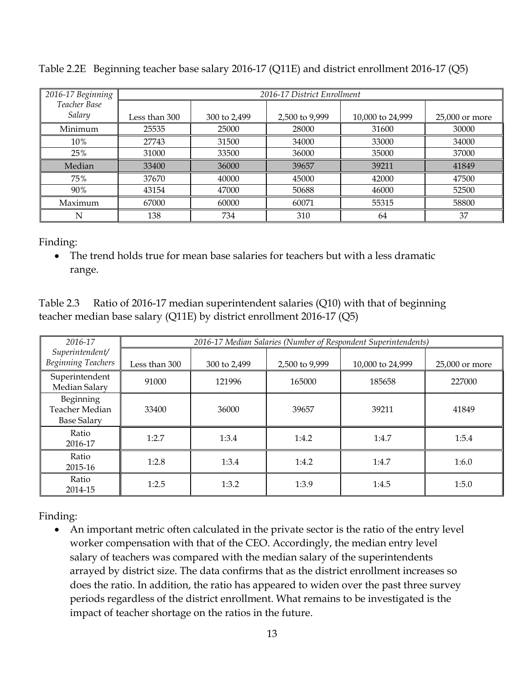| 2016-17 Beginning      |               | 2016-17 District Enrollment |                |                  |                |  |
|------------------------|---------------|-----------------------------|----------------|------------------|----------------|--|
| Teacher Base<br>Salary | Less than 300 | 300 to 2,499                | 2,500 to 9,999 | 10,000 to 24,999 | 25,000 or more |  |
| Minimum                | 25535         | 25000                       | 28000          | 31600            | 30000          |  |
| 10%                    | 27743         | 31500                       | 34000          | 33000            | 34000          |  |
| 25%                    | 31000         | 33500                       | 36000          | 35000            | 37000          |  |
| Median                 | 33400         | 36000                       | 39657          | 39211            | 41849          |  |
| 75%                    | 37670         | 40000                       | 45000          | 42000            | 47500          |  |
| 90%                    | 43154         | 47000                       | 50688          | 46000            | 52500          |  |
| Maximum                | 67000         | 60000                       | 60071          | 55315            | 58800          |  |
| N                      | 138           | 734                         | 310            | 64               | 37             |  |

Table 2.2E Beginning teacher base salary 2016-17 (Q11E) and district enrollment 2016-17 (Q5)

• The trend holds true for mean base salaries for teachers but with a less dramatic range.

Table 2.3 Ratio of 2016-17 median superintendent salaries (Q10) with that of beginning teacher median base salary (Q11E) by district enrollment 2016-17 (Q5)

| 2016-17                                           | 2016-17 Median Salaries (Number of Respondent Superintendents) |              |                |                  |                |
|---------------------------------------------------|----------------------------------------------------------------|--------------|----------------|------------------|----------------|
| Superintendent/<br><b>Beginning Teachers</b>      | Less than 300                                                  | 300 to 2,499 | 2,500 to 9,999 | 10,000 to 24,999 | 25,000 or more |
| Superintendent<br>Median Salary                   | 91000                                                          | 121996       | 165000         | 185658           | 227000         |
| Beginning<br>Teacher Median<br><b>Base Salary</b> | 33400                                                          | 36000        | 39657          | 39211            | 41849          |
| Ratio<br>2016-17                                  | 1:2.7                                                          | 1:3.4        | 1:4.2          | 1:4.7            | 1:5.4          |
| Ratio<br>2015-16                                  | 1:2.8                                                          | 1:3.4        | 1:4.2          | 1:4.7            | 1:6.0          |
| Ratio<br>2014-15                                  | 1:2.5                                                          | 1:3.2        | 1:3.9          | 1:4.5            | 1:5.0          |

Finding:

 An important metric often calculated in the private sector is the ratio of the entry level worker compensation with that of the CEO. Accordingly, the median entry level salary of teachers was compared with the median salary of the superintendents arrayed by district size. The data confirms that as the district enrollment increases so does the ratio. In addition, the ratio has appeared to widen over the past three survey periods regardless of the district enrollment. What remains to be investigated is the impact of teacher shortage on the ratios in the future.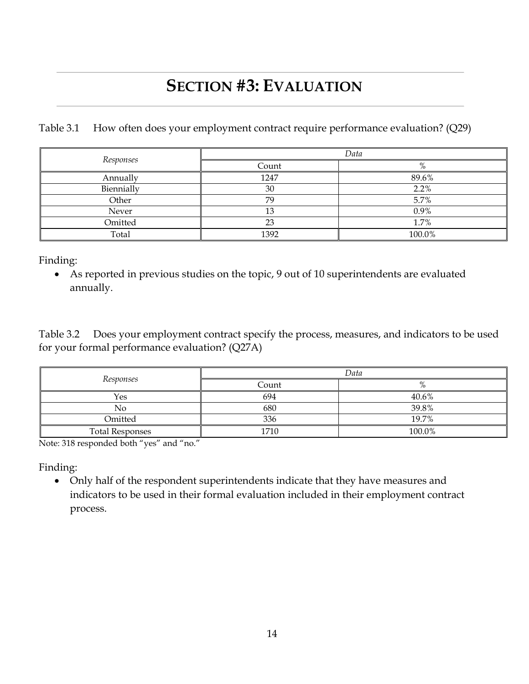# **SECTION #3: EVALUATION**

Table 3.1 How often does your employment contract require performance evaluation? (Q29)

| Responses  | Data  |        |  |
|------------|-------|--------|--|
|            | Count | $\%$   |  |
| Annually   | 1247  | 89.6%  |  |
| Biennially | 30    | 2.2%   |  |
| Other      | 79    | 5.7%   |  |
| Never      |       | 0.9%   |  |
| Omitted    | ng    | 1.7%   |  |
| Total      | 1392  | 100.0% |  |

Finding:

 As reported in previous studies on the topic, 9 out of 10 superintendents are evaluated annually.

Table 3.2 Does your employment contract specify the process, measures, and indicators to be used for your formal performance evaluation? (Q27A)

| Responses              | Data  |        |  |
|------------------------|-------|--------|--|
|                        | Count | $\%$   |  |
| Yes                    | 694   | 40.6%  |  |
| No                     | 680   | 39.8%  |  |
| Omitted                | 336   | 19.7%  |  |
| <b>Total Responses</b> | 1710  | 100.0% |  |

Note: 318 responded both "yes" and "no."

Finding:

 Only half of the respondent superintendents indicate that they have measures and indicators to be used in their formal evaluation included in their employment contract process.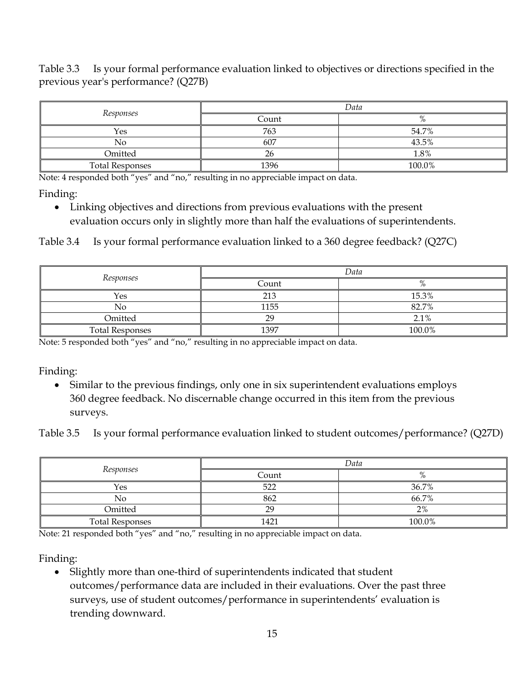Table 3.3 Is your formal performance evaluation linked to objectives or directions specified in the previous year's performance? (Q27B)

|                        | Data  |          |  |
|------------------------|-------|----------|--|
| Responses              | Count | $\Omega$ |  |
| Yes                    | 763   | 54.7%    |  |
| No                     | 607   | 43.5%    |  |
| Omitted                | n.    | 1.8%     |  |
| <b>Total Responses</b> | 1396  | 100.0%   |  |

Note: 4 responded both "yes" and "no," resulting in no appreciable impact on data.

Finding:

 Linking objectives and directions from previous evaluations with the present evaluation occurs only in slightly more than half the evaluations of superintendents.

Table 3.4 Is your formal performance evaluation linked to a 360 degree feedback? (Q27C)

| Responses              | Data           |                |  |
|------------------------|----------------|----------------|--|
|                        | Count          | $\sigma$<br>70 |  |
| Yes                    | 213            | 15.3%          |  |
| No                     | 1155           | 82.7%          |  |
| Omitted                | $\overline{C}$ | 2.1%           |  |
| <b>Total Responses</b> | 1397           | 100.0%         |  |

Note: 5 responded both "yes" and "no," resulting in no appreciable impact on data.

Finding:

 Similar to the previous findings, only one in six superintendent evaluations employs 360 degree feedback. No discernable change occurred in this item from the previous surveys.

Table 3.5 Is your formal performance evaluation linked to student outcomes/performance? (Q27D)

| Responses              | Data  |          |  |
|------------------------|-------|----------|--|
|                        | Count | $\Omega$ |  |
| Yes                    | 522   | 36.7%    |  |
| No                     | 862   | 66.7%    |  |
| Omitted                | 29    | 2%       |  |
| <b>Total Responses</b> | 1421  | 100.0%   |  |

Note: 21 responded both "yes" and "no," resulting in no appreciable impact on data.

Finding:

• Slightly more than one-third of superintendents indicated that student outcomes/performance data are included in their evaluations. Over the past three surveys, use of student outcomes/performance in superintendents' evaluation is trending downward.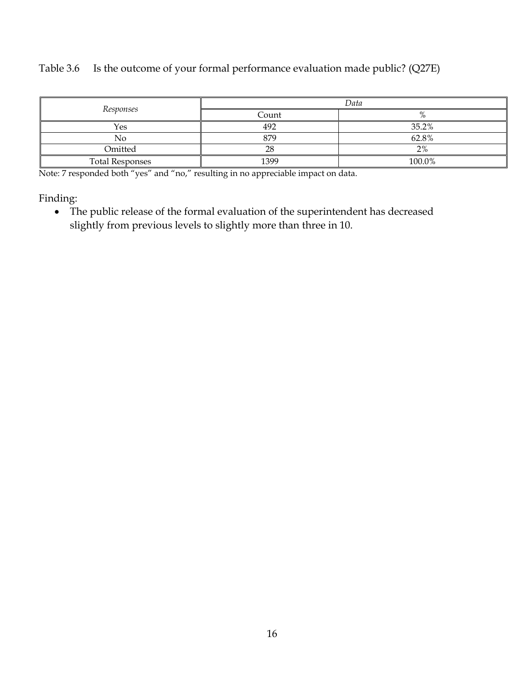#### Table 3.6 Is the outcome of your formal performance evaluation made public? (Q27E)

| Responses              | Data     |        |  |
|------------------------|----------|--------|--|
|                        | Count    |        |  |
| Yes                    | 492      | 35.2%  |  |
| No                     | 879      | 62.8%  |  |
| Omitted                | າດ<br>ZС | 2%     |  |
| <b>Total Responses</b> | 1399     | 100.0% |  |

Note: 7 responded both "yes" and "no," resulting in no appreciable impact on data.

Finding:

 The public release of the formal evaluation of the superintendent has decreased slightly from previous levels to slightly more than three in 10.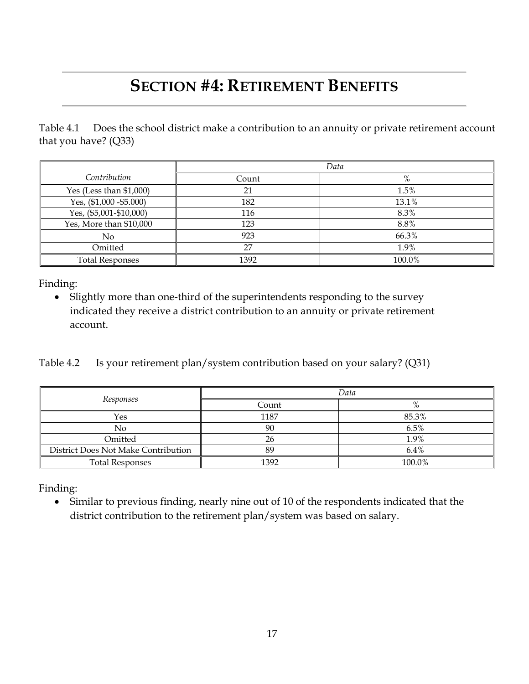## **SECTION #4: RETIREMENT BENEFITS**

Table 4.1 Does the school district make a contribution to an annuity or private retirement account that you have? (Q33)

|                           | Data  |        |
|---------------------------|-------|--------|
| Contribution              | Count | %      |
| Yes (Less than $$1,000$ ) | 21    | 1.5%   |
| Yes, (\$1,000 - \$5.000)  | 182   | 13.1%  |
| Yes, (\$5,001-\$10,000)   | 116   | 8.3%   |
| Yes, More than \$10,000   | 123   | 8.8%   |
| No                        | 923   | 66.3%  |
| Omitted                   | 27    | 1.9%   |
| <b>Total Responses</b>    | 1392  | 100.0% |

Finding:

• Slightly more than one-third of the superintendents responding to the survey indicated they receive a district contribution to an annuity or private retirement account.

Table 4.2 Is your retirement plan/system contribution based on your salary? (Q31)

|                                     | Data  |               |
|-------------------------------------|-------|---------------|
| Responses                           | Count | $\mathbf{O}/$ |
| Yes                                 | 1187  | 85.3%         |
| N٥                                  | 90    | 6.5%          |
| Omitted                             | 26    | 1.9%          |
| District Does Not Make Contribution | 89    | 6.4%          |
| <b>Total Responses</b>              | 1392  | 100.0%        |

Finding:

 Similar to previous finding, nearly nine out of 10 of the respondents indicated that the district contribution to the retirement plan/system was based on salary.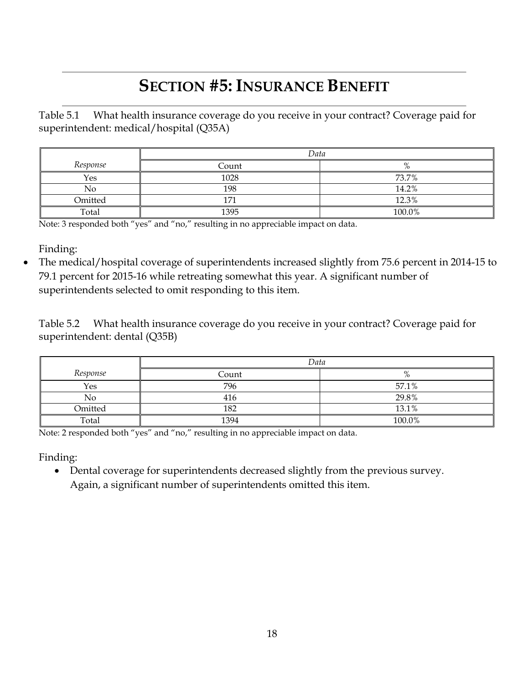# **SECTION #5: INSURANCE BENEFIT**

Table 5.1 What health insurance coverage do you receive in your contract? Coverage paid for superintendent: medical/hospital (Q35A)

|          | Data  |        |
|----------|-------|--------|
| Response | Count | %      |
| Yes      | 1028  | 73.7%  |
| No       | 198   | 14.2%  |
| Omitted  | 1.71  | 12.3%  |
| Total    | 1395  | 100.0% |

Note: 3 responded both "yes" and "no," resulting in no appreciable impact on data.

Finding:

 The medical/hospital coverage of superintendents increased slightly from 75.6 percent in 2014-15 to 79.1 percent for 2015-16 while retreating somewhat this year. A significant number of superintendents selected to omit responding to this item.

Table 5.2 What health insurance coverage do you receive in your contract? Coverage paid for superintendent: dental (Q35B)

|          | Data  |        |
|----------|-------|--------|
| Response | Count | $\%$   |
| Yes      | 796   | 57.1%  |
| No       | 416   | 29.8%  |
| Omitted  | 182   | 13.1%  |
| Total    | 1394  | 100.0% |

Note: 2 responded both "yes" and "no," resulting in no appreciable impact on data.

Finding:

 Dental coverage for superintendents decreased slightly from the previous survey. Again, a significant number of superintendents omitted this item.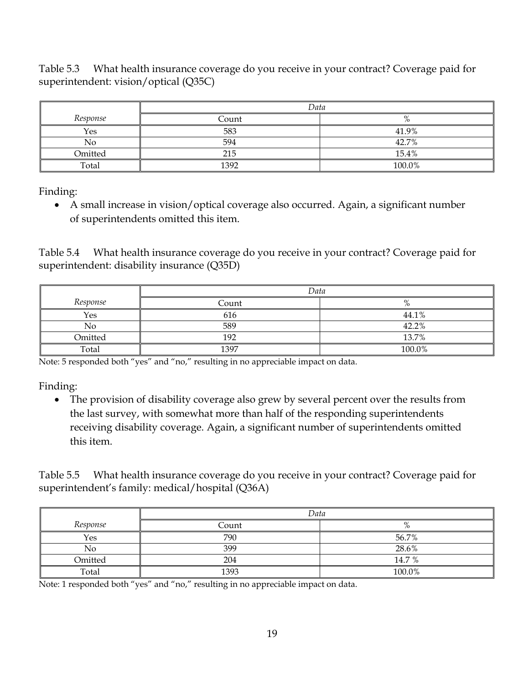Table 5.3 What health insurance coverage do you receive in your contract? Coverage paid for superintendent: vision/optical (Q35C)

|          | Data  |        |
|----------|-------|--------|
| Response | Count |        |
| Yes      | 583   | 41.9%  |
| No       | 594   | 42.7%  |
| Omitted  | 215   | 15.4%  |
| Total    | 1392  | 100.0% |

Finding:

 A small increase in vision/optical coverage also occurred. Again, a significant number of superintendents omitted this item.

Table 5.4 What health insurance coverage do you receive in your contract? Coverage paid for superintendent: disability insurance (Q35D)

|          | Data  |               |
|----------|-------|---------------|
| Response | Count | $\mathbf{O}/$ |
| Yes      | 616   | 44.1%         |
| No       | 589   | 42.2%         |
| Omitted  | 192   | 13.7%         |
| Total    | 1397  | 100.0%        |

Note: 5 responded both "yes" and "no," resulting in no appreciable impact on data.

Finding:

 The provision of disability coverage also grew by several percent over the results from the last survey, with somewhat more than half of the responding superintendents receiving disability coverage. Again, a significant number of superintendents omitted this item.

Table 5.5 What health insurance coverage do you receive in your contract? Coverage paid for superintendent's family: medical/hospital (Q36A)

|          | Data  |        |
|----------|-------|--------|
| Response | Count | $\%$   |
| Yes      | 790   | 56.7%  |
| No       | 399   | 28.6%  |
| Omitted  | 204   | 14.7 % |
| Total    | 1393  | 100.0% |

Note: 1 responded both "yes" and "no," resulting in no appreciable impact on data.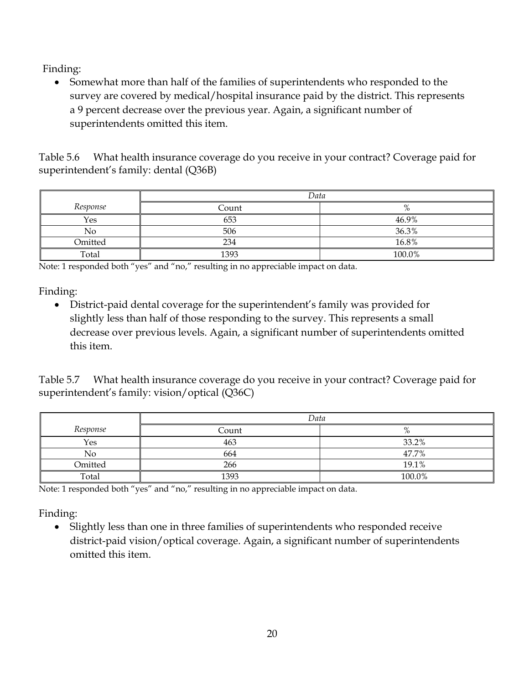Somewhat more than half of the families of superintendents who responded to the survey are covered by medical/hospital insurance paid by the district. This represents a 9 percent decrease over the previous year. Again, a significant number of superintendents omitted this item.

Table 5.6 What health insurance coverage do you receive in your contract? Coverage paid for superintendent's family: dental (Q36B)

|          | Data  |        |
|----------|-------|--------|
| Response | Count | $\%$   |
| Yes      | 653   | 46.9%  |
| No       | 506   | 36.3%  |
| Omitted  | 234   | 16.8%  |
| Total    | 1393  | 100.0% |

Note: 1 responded both "yes" and "no," resulting in no appreciable impact on data.

Finding:

 District-paid dental coverage for the superintendent's family was provided for slightly less than half of those responding to the survey. This represents a small decrease over previous levels. Again, a significant number of superintendents omitted this item.

Table 5.7 What health insurance coverage do you receive in your contract? Coverage paid for superintendent's family: vision/optical (Q36C)

|          | Data  |          |
|----------|-------|----------|
| Response | Count | $\Omega$ |
| Yes      | 463   | 33.2%    |
| No       | 664   | 47.7%    |
| Omitted  | 266   | 19.1%    |
| Total    | 1393  | 100.0%   |

Note: 1 responded both "yes" and "no," resulting in no appreciable impact on data.

Finding:

• Slightly less than one in three families of superintendents who responded receive district-paid vision/optical coverage. Again, a significant number of superintendents omitted this item.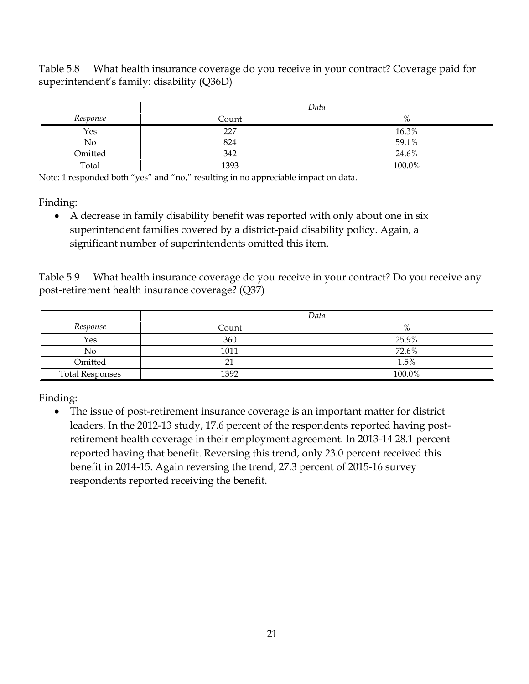Table 5.8 What health insurance coverage do you receive in your contract? Coverage paid for superintendent's family: disability (Q36D)

|          | Data  |          |
|----------|-------|----------|
| Response | Count | $\Omega$ |
| Yes      | 227   | 16.3%    |
| No       | 824   | 59.1%    |
| Omitted  | 342   | 24.6%    |
| Total    | 1393  | 100.0%   |

Note: 1 responded both "yes" and "no," resulting in no appreciable impact on data.

Finding:

 A decrease in family disability benefit was reported with only about one in six superintendent families covered by a district-paid disability policy. Again, a significant number of superintendents omitted this item.

Table 5.9 What health insurance coverage do you receive in your contract? Do you receive any post-retirement health insurance coverage? (Q37)

|                        | Data  |        |
|------------------------|-------|--------|
| Response               | Count | %      |
| Yes                    | 360   | 25.9%  |
| No                     | 1011  | 72.6%  |
| Omitted                | ິີ    | 1.5%   |
| <b>Total Responses</b> | 1392  | 100.0% |

Finding:

 The issue of post-retirement insurance coverage is an important matter for district leaders. In the 2012-13 study, 17.6 percent of the respondents reported having postretirement health coverage in their employment agreement. In 2013-14 28.1 percent reported having that benefit. Reversing this trend, only 23.0 percent received this benefit in 2014-15. Again reversing the trend, 27.3 percent of 2015-16 survey respondents reported receiving the benefit.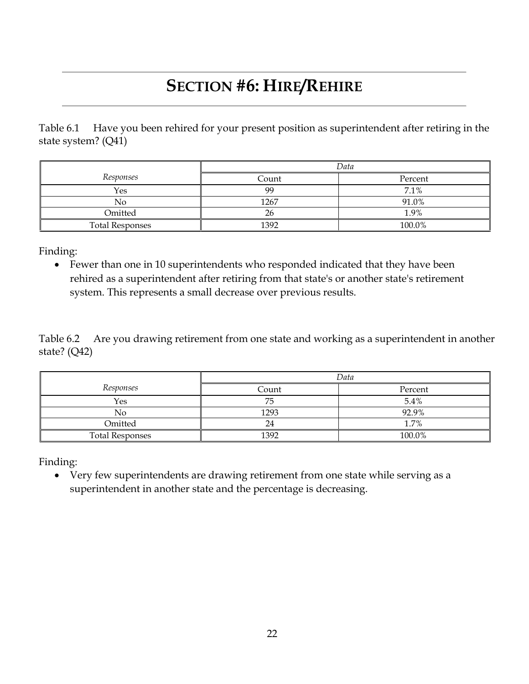# **SECTION #6: HIRE/REHIRE**

Table 6.1 Have you been rehired for your present position as superintendent after retiring in the state system? (Q41)

|                        | Data  |         |
|------------------------|-------|---------|
| Responses              | Count | Percent |
| Yes                    | 99    | 7.1%    |
| No                     | 1267  | 91.0%   |
| Omitted                | 26    | 1.9%    |
| <b>Total Responses</b> | 1392  | 100.0%  |

Finding:

 Fewer than one in 10 superintendents who responded indicated that they have been rehired as a superintendent after retiring from that state's or another state's retirement system. This represents a small decrease over previous results.

Table 6.2 Are you drawing retirement from one state and working as a superintendent in another state? (Q42)

|                        | Data  |         |  |  |
|------------------------|-------|---------|--|--|
| Responses              | Count | Percent |  |  |
| Yes                    | 75    | $5.4\%$ |  |  |
| No                     | 1293  | 92.9%   |  |  |
| Omitted                | 24    | 1.7%    |  |  |
| <b>Total Responses</b> | 1392  | 100.0%  |  |  |

Finding:

 Very few superintendents are drawing retirement from one state while serving as a superintendent in another state and the percentage is decreasing.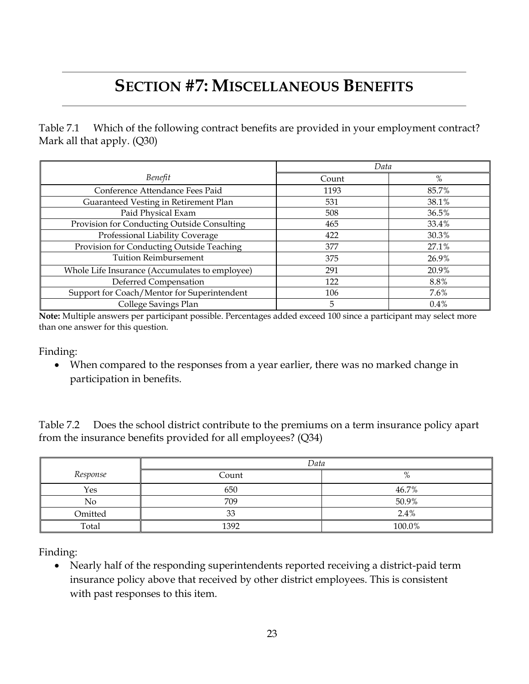# **SECTION #7: MISCELLANEOUS BENEFITS**

Table 7.1 Which of the following contract benefits are provided in your employment contract? Mark all that apply. (Q30)

|                                                | Data  |         |
|------------------------------------------------|-------|---------|
| Benefit                                        | Count | %       |
| Conference Attendance Fees Paid                | 1193  | 85.7%   |
| Guaranteed Vesting in Retirement Plan          | 531   | 38.1%   |
| Paid Physical Exam                             | 508   | 36.5%   |
| Provision for Conducting Outside Consulting    | 465   | 33.4%   |
| Professional Liability Coverage                | 422   | 30.3%   |
| Provision for Conducting Outside Teaching      | 377   | 27.1%   |
| <b>Tuition Reimbursement</b>                   | 375   | 26.9%   |
| Whole Life Insurance (Accumulates to employee) | 291   | 20.9%   |
| Deferred Compensation                          | 122   | 8.8%    |
| Support for Coach/Mentor for Superintendent    | 106   | 7.6%    |
| College Savings Plan                           | 5     | $0.4\%$ |

**Note:** Multiple answers per participant possible. Percentages added exceed 100 since a participant may select more than one answer for this question.

Finding:

 When compared to the responses from a year earlier, there was no marked change in participation in benefits.

Table 7.2 Does the school district contribute to the premiums on a term insurance policy apart from the insurance benefits provided for all employees? (Q34)

|          | Data  |        |  |  |  |  |
|----------|-------|--------|--|--|--|--|
| Response | Count | %      |  |  |  |  |
| Yes      | 650   | 46.7%  |  |  |  |  |
| No       | 709   | 50.9%  |  |  |  |  |
| Omitted  | $3^2$ | 2.4%   |  |  |  |  |
| Total    | 1392  | 100.0% |  |  |  |  |

Finding:

 Nearly half of the responding superintendents reported receiving a district-paid term insurance policy above that received by other district employees. This is consistent with past responses to this item.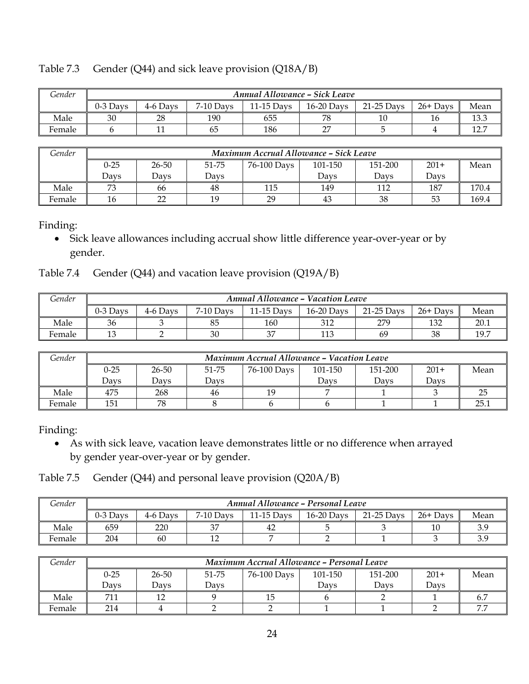|  |  | Table 7.3 Gender (Q44) and sick leave provision (Q18A/B) |  |  |
|--|--|----------------------------------------------------------|--|--|
|--|--|----------------------------------------------------------|--|--|

| Gender | <b>Annual Allowance - Sick Leave</b> |          |           |            |              |            |            |             |
|--------|--------------------------------------|----------|-----------|------------|--------------|------------|------------|-------------|
|        | $0-3$ Davs                           | 4-6 Davs | 7-10 Davs | 11-15 Days | $16-20$ Days | 21-25 Days | $26+$ Days | Mean        |
| Male   | 30                                   | 28       | 190       | 655        | 78           |            | 16         | $\sqrt{10}$ |
| Female |                                      |          | 65        | 186        | $\sim$       |            |            | 10<br>.     |

| Gender |          | Maximum Accrual Allowance - Sick Leave                                |      |     |      |      |      |       |  |  |
|--------|----------|-----------------------------------------------------------------------|------|-----|------|------|------|-------|--|--|
|        | $0 - 25$ | 51-75<br>26-50<br>$201+$<br>151-200<br>101-150<br>76-100 Days<br>Mean |      |     |      |      |      |       |  |  |
|        | Davs     | Davs                                                                  | Davs |     | Davs | Davs | Davs |       |  |  |
| Male   | 72       | 66                                                                    | 48   | 115 | 149  | 112  | 187  | 170.4 |  |  |
| Female | 16       | nn                                                                    | 19   | 29  | 43   | 38   | 53   | 169.4 |  |  |

 Sick leave allowances including accrual show little difference year-over-year or by gender.

Table 7.4 Gender (Q44) and vacation leave provision (Q19A/B)

| Gender | <b>Annual Allowance - Vacation Leave</b> |          |             |            |              |              |            |      |
|--------|------------------------------------------|----------|-------------|------------|--------------|--------------|------------|------|
|        | 0-3 Davs                                 | 4-6 Davs | $7-10$ Days | 11-15 Days | $16-20$ Days | $21-25$ Days | $26+$ Days | Mean |
| Male   | 36                                       |          | 85          | 160        | 312          | 279          | 132        | 20.1 |
| Female |                                          |          | 30          | $\sim$     | 113          | 69           | 38         | 19.7 |

| Gender | Maximum Accrual Allowance - Vacation Leave |                                                                       |      |    |      |      |      |      |  |
|--------|--------------------------------------------|-----------------------------------------------------------------------|------|----|------|------|------|------|--|
|        | $0 - 25$                                   | 26-50<br>51-75<br>151-200<br>$201+$<br>Mean<br>76-100 Days<br>101-150 |      |    |      |      |      |      |  |
|        | Davs                                       | Davs                                                                  | Davs |    | Davs | Davs | Davs |      |  |
| Male   | 475                                        | 268                                                                   | 46   | 19 |      |      |      |      |  |
| Female | 151                                        | 78                                                                    |      |    |      |      |      | 25.1 |  |

Finding:

 As with sick leave, vacation leave demonstrates little or no difference when arrayed by gender year-over-year or by gender.

Table 7.5 Gender (Q44) and personal leave provision (Q20A/B)

| <i>Gender</i> | Annual Allowance - Personal Leave |          |             |            |              |              |            |      |
|---------------|-----------------------------------|----------|-------------|------------|--------------|--------------|------------|------|
|               | $0-3$ Davs                        | 4-6 Davs | $7-10$ Days | 11-15 Days | $16-20$ Days | $21-25$ Days | $26+$ Days | Mean |
| Male          | 659                               | 220      | 37          | 42         |              |              | 10         |      |
| Female        | 204                               | 60       | 10<br>∸     |            |              |              |            |      |

| Gender | Maximum Accrual Allowance - Personal Leave |                                                                       |      |  |      |      |      |                |  |  |
|--------|--------------------------------------------|-----------------------------------------------------------------------|------|--|------|------|------|----------------|--|--|
|        | $0 - 25$                                   | Mean<br>$201+$<br>151-200<br>26-50<br>51-75<br>76-100 Days<br>101-150 |      |  |      |      |      |                |  |  |
|        | Davs                                       | Davs                                                                  | Davs |  | Davs | Davs | Davs |                |  |  |
| Male   |                                            |                                                                       |      |  |      |      |      | b.,            |  |  |
| Female | 214                                        |                                                                       |      |  |      |      |      | $\overline{ }$ |  |  |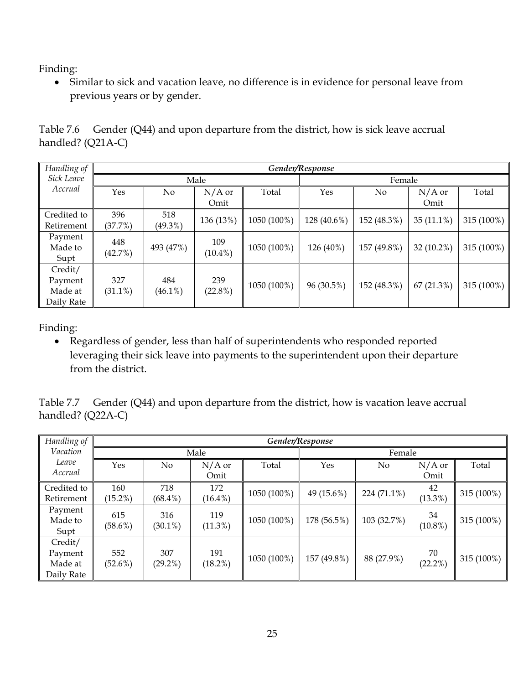Similar to sick and vacation leave, no difference is in evidence for personal leave from previous years or by gender.

|                     | Table 7.6 Gender (Q44) and upon departure from the district, how is sick leave accrual |
|---------------------|----------------------------------------------------------------------------------------|
| handled? $(Q21A-C)$ |                                                                                        |

| Handling of |            |            |            |             | Gender/Response |             |              |            |  |
|-------------|------------|------------|------------|-------------|-----------------|-------------|--------------|------------|--|
| Sick Leave  |            |            | Male       |             |                 | Female      |              |            |  |
| Accrual     | Yes        | No         | $N/A$ or   | Total       | Yes             | No          | $N/A$ or     | Total      |  |
|             |            |            | Omit       |             |                 |             | Omit         |            |  |
| Credited to | 396        | 518        | 136 (13%)  | 1050 (100%) | 128 (40.6%)     | 152 (48.3%) | $35(11.1\%)$ | 315 (100%) |  |
| Retirement  | (37.7%)    | $(49.3\%)$ |            |             |                 |             |              |            |  |
| Payment     | 448        |            | 109        |             |                 |             |              |            |  |
| Made to     | (42.7%)    | 493 (47%)  | $(10.4\%)$ | 1050 (100%) | 126 (40%)       | 157 (49.8%) | $32(10.2\%)$ | 315 (100%) |  |
| Supt        |            |            |            |             |                 |             |              |            |  |
| Credit/     |            |            |            |             |                 |             |              |            |  |
| Payment     | 327        | 484        | 239        | 1050 (100%) | 96 (30.5%)      | 152 (48.3%) | 67(21.3%)    | 315 (100%) |  |
| Made at     | $(31.1\%)$ | $(46.1\%)$ | $(22.8\%)$ |             |                 |             |              |            |  |
| Daily Rate  |            |            |            |             |                 |             |              |            |  |

Finding:

 Regardless of gender, less than half of superintendents who responded reported leveraging their sick leave into payments to the superintendent upon their departure from the district.

Table 7.7 Gender (Q44) and upon departure from the district, how is vacation leave accrual handled? (Q22A-C)

| Handling of                                 | Gender/Response   |                   |                   |             |             |             |                  |            |
|---------------------------------------------|-------------------|-------------------|-------------------|-------------|-------------|-------------|------------------|------------|
| Vacation                                    |                   |                   | Male              |             |             | Female      |                  |            |
| Leave                                       | Yes               | $\rm No$          | $N/A$ or          | Total       | Yes         | No          | $N/A$ or         | Total      |
| Accrual                                     |                   |                   | Omit              |             |             |             | Omit             |            |
| Credited to                                 | 160               | 718               | 172               | 1050 (100%) | 49 (15.6%)  | 224 (71.1%) | 42               | 315 (100%) |
| Retirement                                  | $(15.2\%)$        | $(68.4\%)$        | $(16.4\%)$        |             |             |             | $(13.3\%)$       |            |
| Payment<br>Made to<br>Supt                  | 615<br>$(58.6\%)$ | 316<br>$(30.1\%)$ | 119<br>$(11.3\%)$ | 1050 (100%) | 178 (56.5%) | 103 (32.7%) | 34<br>$(10.8\%)$ | 315 (100%) |
| Credit/<br>Payment<br>Made at<br>Daily Rate | 552<br>$(52.6\%)$ | 307<br>$(29.2\%)$ | 191<br>$(18.2\%)$ | 1050 (100%) | 157 (49.8%) | 88 (27.9%)  | 70<br>$(22.2\%)$ | 315 (100%) |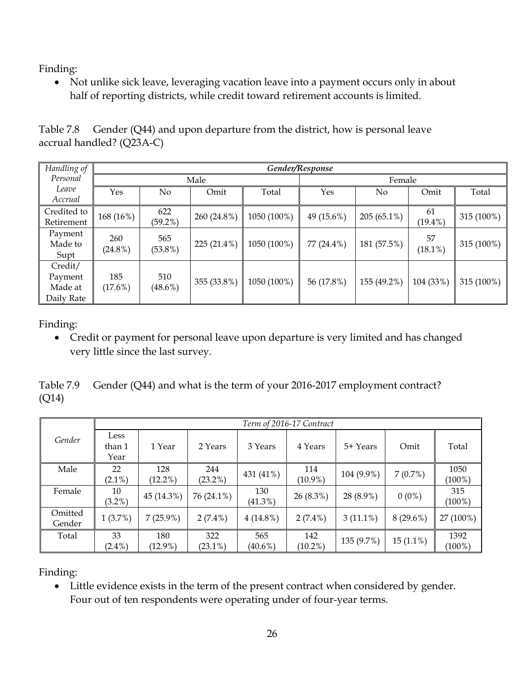• Not unlike sick leave, leveraging vacation leave into a payment occurs only in about half of reporting districts, while credit toward retirement accounts is limited.

| Table 7.8 Gender $(Q44)$ and upon departure from the district, how is personal leave |
|--------------------------------------------------------------------------------------|
| accrual handled? (Q23A-C)                                                            |

| Handling of                                 |                   | Gender/Response   |             |             |            |               |                  |            |
|---------------------------------------------|-------------------|-------------------|-------------|-------------|------------|---------------|------------------|------------|
| Personal                                    |                   |                   | Male        |             |            | Female        |                  |            |
| Leave<br>Accrual                            | Yes               | No                | Omit        | Total       | Yes        | No            | Omit             | Total      |
| Credited to<br>Retirement                   | 168 (16%)         | 622<br>$(59.2\%)$ | 260 (24.8%) | 1050 (100%) | 49 (15.6%) | $205(65.1\%)$ | 61<br>$(19.4\%)$ | 315 (100%) |
| Payment<br>Made to<br>Supt                  | 260<br>$(24.8\%)$ | 565<br>$(53.8\%)$ | 225 (21.4%) | 1050 (100%) | 77 (24.4%) | 181 (57.5%)   | 57<br>$(18.1\%)$ | 315 (100%) |
| Credit/<br>Payment<br>Made at<br>Daily Rate | 185<br>$(17.6\%)$ | 510<br>$(48.6\%)$ | 355 (33.8%) | 1050 (100%) | 56 (17.8%) | 155 (49.2%)   | 104 (33%)        | 315 (100%) |

Finding:

 Credit or payment for personal leave upon departure is very limited and has changed very little since the last survey.

Table 7.9 Gender (Q44) and what is the term of your 2016-2017 employment contract? (Q14)

|                   |                        |                   |                   |                   | Term of 2016-17 Contract |             |             |                   |
|-------------------|------------------------|-------------------|-------------------|-------------------|--------------------------|-------------|-------------|-------------------|
| Gender            | Less<br>than 1<br>Year | 1 Year            | 2 Years           | 3 Years           | 4 Years                  | 5+ Years    | Omit        | Total             |
| Male              | 22<br>$(2.1\%)$        | 128<br>$(12.2\%)$ | 244<br>$(23.2\%)$ | 431 (41%)         | 114<br>$(10.9\%)$        | 104 (9.9%)  | 7(0.7%)     | 1050<br>$(100\%)$ |
| Female            | 10<br>$(3.2\%)$        | 45 (14.3%)        | 76 (24.1%)        | 130<br>$(41.3\%)$ | $26(8.3\%)$              | 28 (8.9%)   | $0(0\%)$    | 315<br>$(100\%)$  |
| Omitted<br>Gender | 1(3.7%)                | $7(25.9\%)$       | $2(7.4\%)$        | $4(14.8\%)$       | $2(7.4\%)$               | $3(11.1\%)$ | $8(29.6\%)$ | 27 (100%)         |
| Total             | 33<br>$(2.4\%)$        | 180<br>$(12.9\%)$ | 322<br>$(23.1\%)$ | 565<br>$(40.6\%)$ | 142<br>$(10.2\%)$        | 135 (9.7%)  | $15(1.1\%)$ | 1392<br>$(100\%)$ |

Finding:

 Little evidence exists in the term of the present contract when considered by gender. Four out of ten respondents were operating under of four-year terms.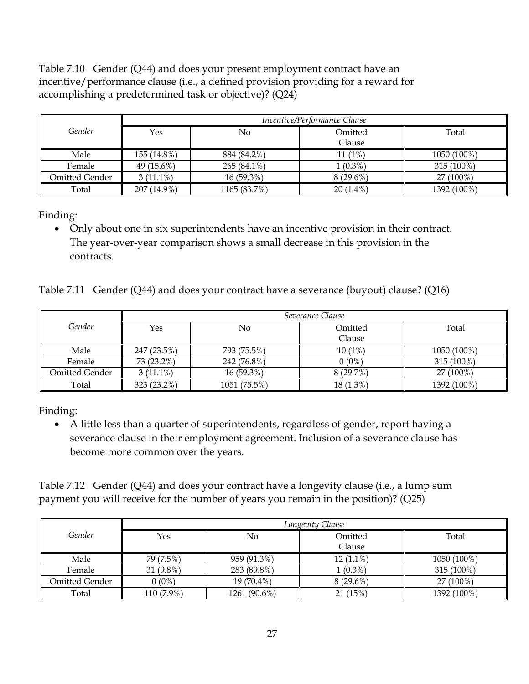Table 7.10 Gender (Q44) and does your present employment contract have an incentive/performance clause (i.e., a defined provision providing for a reward for accomplishing a predetermined task or objective)? (Q24)

|                | Incentive/Performance Clause |              |                   |             |  |  |  |  |
|----------------|------------------------------|--------------|-------------------|-------------|--|--|--|--|
| Gender         | Yes                          | No           | Omitted<br>Clause | Total       |  |  |  |  |
|                |                              |              |                   |             |  |  |  |  |
| Male           | 155 (14.8%)                  | 884 (84.2%)  | $11(1\%)$         | 1050 (100%) |  |  |  |  |
| Female         | 49 (15.6%)                   | 265 (84.1%)  | $1(0.3\%)$        | 315 (100%)  |  |  |  |  |
| Omitted Gender | $3(11.1\%)$                  | $16(59.3\%)$ | $8(29.6\%)$       | 27 (100%)   |  |  |  |  |
| Total          | 207 (14.9%)                  | 1165 (83.7%) | $20(1.4\%)$       | 1392 (100%) |  |  |  |  |

Finding:

 Only about one in six superintendents have an incentive provision in their contract. The year-over-year comparison shows a small decrease in this provision in the contracts.

Table 7.11 Gender (Q44) and does your contract have a severance (buyout) clause? (Q16)

|                |             |              | Severance Clause |             |
|----------------|-------------|--------------|------------------|-------------|
| Gender         | No<br>Yes   |              | Omitted          | Total       |
|                |             |              | Clause           |             |
| Male           | 247 (23.5%) | 793 (75.5%)  | $10(1\%)$        | 1050 (100%) |
| Female         | 73 (23.2%)  | 242 (76.8%)  | $0(0\%)$         | 315 (100%)  |
| Omitted Gender | $3(11.1\%)$ | 16 (59.3%)   | 8(29.7%)         | $27(100\%)$ |
| Total          | 323 (23.2%) | 1051 (75.5%) | 18 (1.3%)        | 1392 (100%) |

Finding:

 A little less than a quarter of superintendents, regardless of gender, report having a severance clause in their employment agreement. Inclusion of a severance clause has become more common over the years.

Table 7.12 Gender (Q44) and does your contract have a longevity clause (i.e., a lump sum payment you will receive for the number of years you remain in the position)? (Q25)

|                |            | Longevity Clause |             |             |  |  |  |  |  |
|----------------|------------|------------------|-------------|-------------|--|--|--|--|--|
| Gender         | Yes<br>No  |                  | Omitted     | Total       |  |  |  |  |  |
|                |            |                  | Clause      |             |  |  |  |  |  |
| Male           | 79 (7.5%)  | 959 (91.3%)      | $12(1.1\%)$ | 1050 (100%) |  |  |  |  |  |
| Female         | 31 (9.8%)  | 283 (89.8%)      | $1(0.3\%)$  | 315 (100%)  |  |  |  |  |  |
| Omitted Gender | $0(0\%)$   | 19 (70.4%)       | $8(29.6\%)$ | 27 (100%)   |  |  |  |  |  |
| Total          | 110 (7.9%) | 1261 (90.6%)     | 21(15%)     | 1392 (100%) |  |  |  |  |  |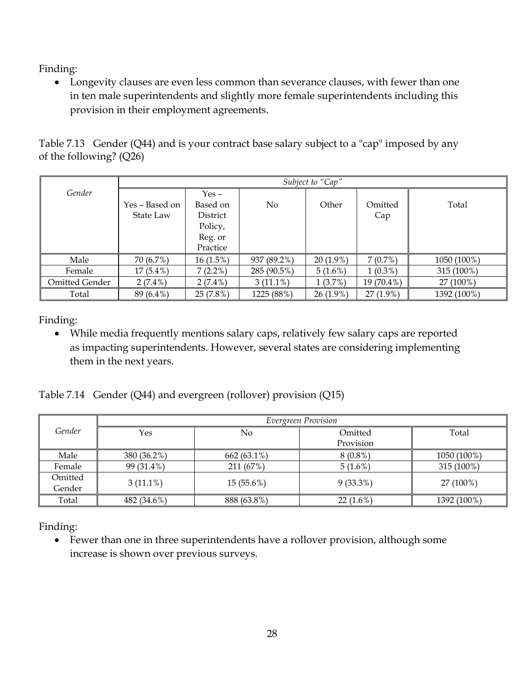Longevity clauses are even less common than severance clauses, with fewer than one in ten male superintendents and slightly more female superintendents including this provision in their employment agreements.

Table 7.13 Gender (Q44) and is your contract base salary subject to a "cap" imposed by any of the following? (Q26)

|                | Subject to "Cap" |             |             |             |             |             |  |  |  |
|----------------|------------------|-------------|-------------|-------------|-------------|-------------|--|--|--|
| Gender         |                  | $Yes -$     |             |             |             |             |  |  |  |
|                | Yes – Based on   | Based on    | No.         | Other       | Omitted     | Total       |  |  |  |
|                | State Law        | District    |             |             | Cap         |             |  |  |  |
|                |                  | Policy,     |             |             |             |             |  |  |  |
|                |                  | Reg. or     |             |             |             |             |  |  |  |
|                |                  | Practice    |             |             |             |             |  |  |  |
| Male           | 70 (6.7%)        | $16(1.5\%)$ | 937 (89.2%) | $20(1.9\%)$ | 7(0.7%)     | 1050 (100%) |  |  |  |
| Female         | $17(5.4\%)$      | $7(2.2\%)$  | 285 (90.5%) | $5(1.6\%)$  | $1(0.3\%)$  | 315 (100%)  |  |  |  |
| Omitted Gender | $2(7.4\%)$       | $2(7.4\%)$  | $3(11.1\%)$ | 1(3.7%)     | 19 (70.4%)  | 27 (100%)   |  |  |  |
| Total          | 89 (6.4%)        | 25(7.8%)    | 1225 (88%)  | $26(1.9\%)$ | $27(1.9\%)$ | 1392 (100%) |  |  |  |

Finding:

 While media frequently mentions salary caps, relatively few salary caps are reported as impacting superintendents. However, several states are considering implementing them in the next years.

Table 7.14 Gender (Q44) and evergreen (rollover) provision (Q15)

|                   | Evergreen Provision |               |             |             |  |  |  |  |  |
|-------------------|---------------------|---------------|-------------|-------------|--|--|--|--|--|
| Gender            | Yes                 | No            | Omitted     | Total       |  |  |  |  |  |
|                   |                     |               | Provision   |             |  |  |  |  |  |
| Male              | 380 (36.2%)         | $662(63.1\%)$ | $8(0.8\%)$  | 1050 (100%) |  |  |  |  |  |
| Female            | 99 (31.4%)          | 211 (67%)     | $5(1.6\%)$  | 315 (100%)  |  |  |  |  |  |
| Omitted<br>Gender | $3(11.1\%)$         | 15(55.6%)     | $9(33.3\%)$ | 27 (100%)   |  |  |  |  |  |
| Total             | 482 (34.6%)         | 888 (63.8%)   | $22(1.6\%)$ | 1392 (100%) |  |  |  |  |  |

Finding:

 Fewer than one in three superintendents have a rollover provision, although some increase is shown over previous surveys.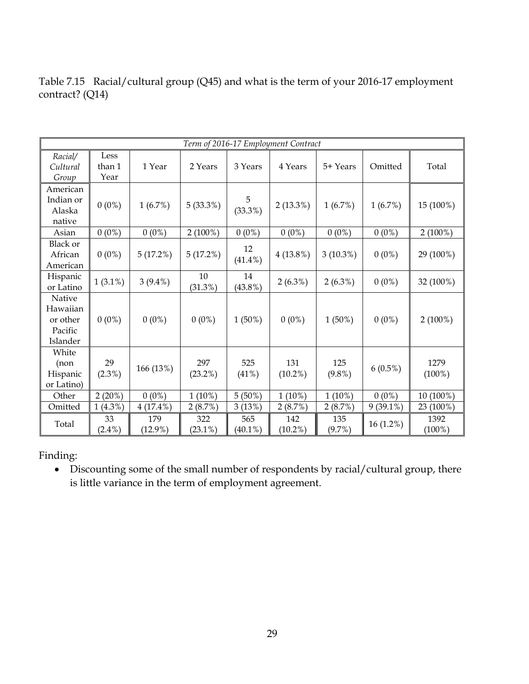|                                                       | Term of 2016-17 Employment Contract |                   |                   |                   |                   |                  |             |                   |
|-------------------------------------------------------|-------------------------------------|-------------------|-------------------|-------------------|-------------------|------------------|-------------|-------------------|
| Racial/<br>Cultural<br>Group                          | Less<br>than 1<br>Year              | 1 Year            | 2 Years           | 3 Years           | 4 Years           | 5+ Years         | Omitted     | Total             |
| American<br>Indian or<br>Alaska<br>native             | $0(0\%)$                            | 1(6.7%)           | 5(33.3%)          | 5<br>$(33.3\%)$   | $2(13.3\%)$       | 1(6.7%)          | 1(6.7%)     | 15 (100%)         |
| Asian                                                 | $0(0\%)$                            | $0(0\%)$          | $2(100\%)$        | $0(0\%)$          | $0(0\%)$          | $0(0\%)$         | $0(0\%)$    | $2(100\%)$        |
| <b>Black or</b><br>African<br>American                | $0(0\%)$                            | 5(17.2%)          | 5(17.2%)          | 12<br>$(41.4\%)$  | $4(13.8\%)$       | $3(10.3\%)$      | $0(0\%)$    | 29 (100%)         |
| Hispanic<br>or Latino                                 | $1(3.1\%)$                          | $3(9.4\%)$        | 10<br>$(31.3\%)$  | 14<br>$(43.8\%)$  | $2(6.3\%)$        | $2(6.3\%)$       | $0(0\%)$    | 32 (100%)         |
| Native<br>Hawaiian<br>or other<br>Pacific<br>Islander | $0(0\%)$                            | $0(0\%)$          | $0(0\%)$          | $1(50\%)$         | $0(0\%)$          | $1(50\%)$        | $0(0\%)$    | $2(100\%)$        |
| White<br>(non<br>Hispanic<br>or Latino)               | 29<br>$(2.3\%)$                     | 166 (13%)         | 297<br>$(23.2\%)$ | 525<br>(41%)      | 131<br>$(10.2\%)$ | 125<br>$(9.8\%)$ | $6(0.5\%)$  | 1279<br>$(100\%)$ |
| Other                                                 | 2(20%)                              | $0(0\%)$          | $1(10\%)$         | $5(50\%)$         | $1(10\%)$         | $1(10\%)$        | $0(0\%)$    | 10 (100%)         |
| Omitted                                               | $1(4.3\%)$                          | $4(17.4\%)$       | 2(8.7%)           | 3(13%)            | 2(8.7%)           | 2(8.7%)          | $9(39.1\%)$ | 23 (100%)         |
| Total                                                 | 33<br>$(2.4\%)$                     | 179<br>$(12.9\%)$ | 322<br>$(23.1\%)$ | 565<br>$(40.1\%)$ | 142<br>$(10.2\%)$ | 135<br>(9.7%)    | 16 (1.2%)   | 1392<br>$(100\%)$ |

Table 7.15 Racial/cultural group (Q45) and what is the term of your 2016-17 employment contract? (Q14)

 Discounting some of the small number of respondents by racial/cultural group, there is little variance in the term of employment agreement.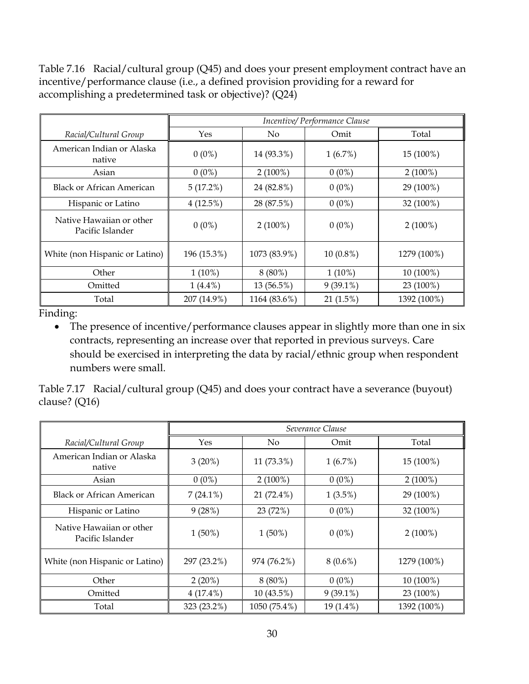Table 7.16 Racial/cultural group (Q45) and does your present employment contract have an incentive/performance clause (i.e., a defined provision providing for a reward for accomplishing a predetermined task or objective)? (Q24)

|                                              |             | Incentive/Performance Clause |             |             |  |  |  |
|----------------------------------------------|-------------|------------------------------|-------------|-------------|--|--|--|
| Racial/Cultural Group                        | Yes         | No.                          | Omit        | Total       |  |  |  |
| American Indian or Alaska<br>native          | $0(0\%)$    | 14 (93.3%)                   | 1(6.7%)     | 15 (100%)   |  |  |  |
| Asian                                        | $0(0\%)$    | $2(100\%)$                   | $0(0\%)$    | $2(100\%)$  |  |  |  |
| <b>Black or African American</b>             | 5(17.2%)    | 24 (82.8%)                   | $0(0\%)$    | 29 (100%)   |  |  |  |
| Hispanic or Latino                           | 4(12.5%)    | 28 (87.5%)                   | $0(0\%)$    | 32 (100%)   |  |  |  |
| Native Hawaiian or other<br>Pacific Islander | $0(0\%)$    | $2(100\%)$                   | $0(0\%)$    | $2(100\%)$  |  |  |  |
| White (non Hispanic or Latino)               | 196 (15.3%) | 1073 (83.9%)                 | $10(0.8\%)$ | 1279 (100%) |  |  |  |
| Other                                        | $1(10\%)$   | $8(80\%)$                    | $1(10\%)$   | 10 (100%)   |  |  |  |
| Omitted                                      | $1(4.4\%)$  | 13 (56.5%)                   | $9(39.1\%)$ | 23 (100%)   |  |  |  |
| Total                                        | 207 (14.9%) | 1164 (83.6%)                 | 21(1.5%)    | 1392 (100%) |  |  |  |

• The presence of incentive/performance clauses appear in slightly more than one in six contracts, representing an increase over that reported in previous surveys. Care should be exercised in interpreting the data by racial/ethnic group when respondent numbers were small.

Table 7.17 Racial/cultural group (Q45) and does your contract have a severance (buyout) clause? (Q16)

|                                              |             |              | Severance Clause |             |
|----------------------------------------------|-------------|--------------|------------------|-------------|
| Racial/Cultural Group                        | Yes         | No.          | Omit             | Total       |
| American Indian or Alaska<br>native          | $3(20\%)$   | 11 (73.3%)   | $1(6.7\%)$       | 15 (100%)   |
| Asian                                        | $0(0\%)$    | $2(100\%)$   | $0(0\%)$         | $2(100\%)$  |
| <b>Black or African American</b>             | $7(24.1\%)$ | 21 (72.4%)   | $1(3.5\%)$       | 29 (100%)   |
| Hispanic or Latino                           | 9(28%)      | 23 (72%)     | $0(0\%)$         | 32 (100%)   |
| Native Hawaiian or other<br>Pacific Islander | $1(50\%)$   | $1(50\%)$    | $0(0\%)$         | $2(100\%)$  |
| White (non Hispanic or Latino)               | 297 (23.2%) | 974 (76.2%)  | $8(0.6\%)$       | 1279 (100%) |
| Other                                        | $2(20\%)$   | $8(80\%)$    | $0(0\%)$         | 10 (100%)   |
| Omitted                                      | $4(17.4\%)$ | 10 (43.5%)   | $9(39.1\%)$      | 23 (100%)   |
| Total                                        | 323 (23.2%) | 1050 (75.4%) | $19(1.4\%)$      | 1392 (100%) |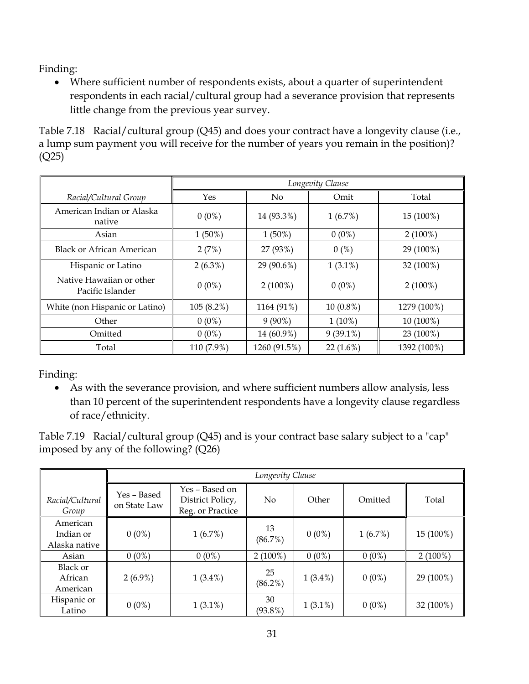Where sufficient number of respondents exists, about a quarter of superintendent respondents in each racial/cultural group had a severance provision that represents little change from the previous year survey.

Table 7.18 Racial/cultural group (Q45) and does your contract have a longevity clause (i.e., a lump sum payment you will receive for the number of years you remain in the position)? (Q25)

|                                              | Longevity Clause |              |             |             |
|----------------------------------------------|------------------|--------------|-------------|-------------|
| Racial/Cultural Group                        | Yes              | No.          | Omit        | Total       |
| American Indian or Alaska<br>native          | $0(0\%)$         | 14 (93.3%)   | $1(6.7\%)$  | 15 (100%)   |
| Asian                                        | $1(50\%)$        | $1(50\%)$    | $0(0\%)$    | $2(100\%)$  |
| Black or African American                    | 2(7%)            | 27 (93%)     | 0(%)        | 29 (100%)   |
| Hispanic or Latino                           | $2(6.3\%)$       | 29 (90.6%)   | $1(3.1\%)$  | 32 (100%)   |
| Native Hawaiian or other<br>Pacific Islander | $0(0\%)$         | $2(100\%)$   | $0(0\%)$    | $2(100\%)$  |
| White (non Hispanic or Latino)               | $105(8.2\%)$     | 1164 (91%)   | $10(0.8\%)$ | 1279 (100%) |
| Other                                        | $0(0\%)$         | $9(90\%)$    | $1(10\%)$   | 10 (100%)   |
| Omitted                                      | $0(0\%)$         | 14 (60.9%)   | $9(39.1\%)$ | 23 (100%)   |
| Total                                        | 110 (7.9%)       | 1260 (91.5%) | $22(1.6\%)$ | 1392 (100%) |

Finding:

 As with the severance provision, and where sufficient numbers allow analysis, less than 10 percent of the superintendent respondents have a longevity clause regardless of race/ethnicity.

Table 7.19 Racial/cultural group (Q45) and is your contract base salary subject to a "cap" imposed by any of the following? (Q26)

|                                        | Longevity Clause            |                                                        |                  |            |            |            |
|----------------------------------------|-----------------------------|--------------------------------------------------------|------------------|------------|------------|------------|
| Racial/Cultural<br>Group               | Yes - Based<br>on State Law | Yes – Based on<br>District Policy,<br>Reg. or Practice | N <sub>0</sub>   | Other      | Omitted    | Total      |
| American<br>Indian or<br>Alaska native | $0(0\%)$                    | 1(6.7%)                                                | 13<br>(86.7%)    | $0(0\%)$   | $1(6.7\%)$ | 15 (100%)  |
| Asian                                  | $0(0\%)$                    | $0(0\%)$                                               | $2(100\%)$       | $0(0\%)$   | $0(0\%)$   | $2(100\%)$ |
| Black or<br>African<br>American        | $2(6.9\%)$                  | $1(3.4\%)$                                             | 25<br>$(86.2\%)$ | $1(3.4\%)$ | $0(0\%)$   | 29 (100%)  |
| Hispanic or<br>Latino                  | $0(0\%)$                    | $1(3.1\%)$                                             | 30<br>$(93.8\%)$ | $1(3.1\%)$ | $0(0\%)$   | 32 (100%)  |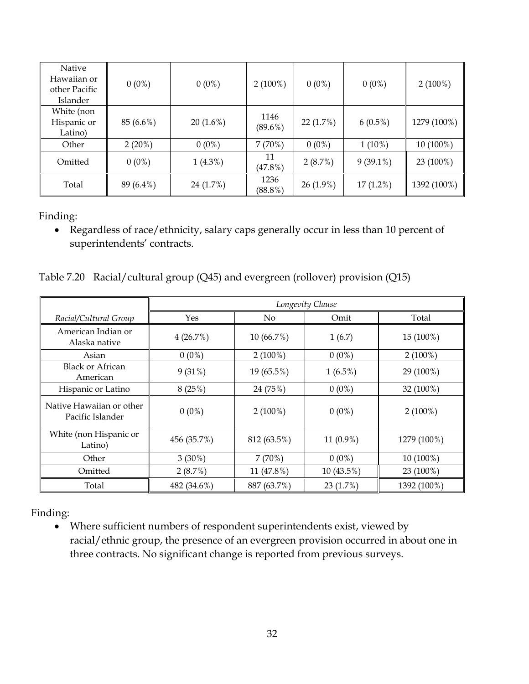| Native<br>Hawaiian or<br>other Pacific<br>Islander | $0(0\%)$  | $0(0\%)$   | $2(100\%)$         | $0(0\%)$    | $0(0\%)$    | $2(100\%)$  |
|----------------------------------------------------|-----------|------------|--------------------|-------------|-------------|-------------|
| White (non<br>Hispanic or<br>Latino)               | 85 (6.6%) | 20(1.6%)   | 1146<br>$(89.6\%)$ | 22(1.7%)    | $6(0.5\%)$  | 1279 (100%) |
| Other                                              | $2(20\%)$ | $0(0\%)$   | 7(70%)             | $0(0\%)$    | $1(10\%)$   | 10 (100%)   |
| Omitted                                            | $0(0\%)$  | $1(4.3\%)$ | 11<br>$(47.8\%)$   | 2(8.7%)     | $9(39.1\%)$ | 23 (100%)   |
| Total                                              | 89 (6.4%) | 24 (1.7%)  | 1236<br>$(88.8\%)$ | $26(1.9\%)$ | $17(1.2\%)$ | 1392 (100%) |

 Regardless of race/ethnicity, salary caps generally occur in less than 10 percent of superintendents' contracts.

Table 7.20 Racial/cultural group (Q45) and evergreen (rollover) provision (Q15)

|                                              | Longevity Clause |             |             |             |
|----------------------------------------------|------------------|-------------|-------------|-------------|
| Racial/Cultural Group                        | Yes              | No.         | Omit        | Total       |
| American Indian or<br>Alaska native          | 4(26.7%)         | 10 (66.7%)  | 1(6.7)      | 15 (100%)   |
| Asian                                        | $0(0\%)$         | $2(100\%)$  | $0(0\%)$    | $2(100\%)$  |
| <b>Black or African</b><br>American          | 9(31%)           | 19 (65.5%)  | $1(6.5\%)$  | 29 (100%)   |
| Hispanic or Latino                           | 8(25%)           | 24 (75%)    | $0(0\%)$    | 32 (100%)   |
| Native Hawaiian or other<br>Pacific Islander | $0(0\%)$         | $2(100\%)$  | $0(0\%)$    | $2(100\%)$  |
| White (non Hispanic or<br>Latino)            | 456 (35.7%)      | 812 (63.5%) | $11(0.9\%)$ | 1279 (100%) |
| Other                                        | $3(30\%)$        | 7(70%)      | $0(0\%)$    | 10 (100%)   |
| Omitted                                      | 2(8.7%)          | 11 (47.8%)  | 10 (43.5%)  | 23 (100%)   |
| Total                                        | 482 (34.6%)      | 887 (63.7%) | 23(1.7%)    | 1392 (100%) |

Finding:

 Where sufficient numbers of respondent superintendents exist, viewed by racial/ethnic group, the presence of an evergreen provision occurred in about one in three contracts. No significant change is reported from previous surveys.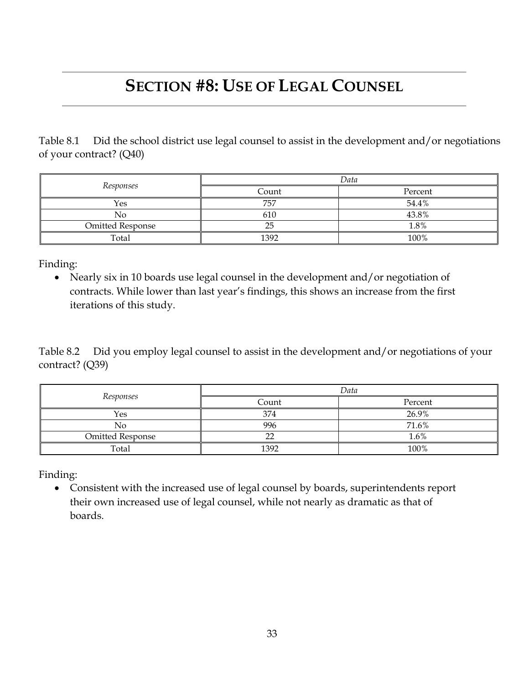### **SECTION #8: USE OF LEGAL COUNSEL**

Table 8.1 Did the school district use legal counsel to assist in the development and/or negotiations of your contract? (Q40)

|                         | Data  |         |  |  |
|-------------------------|-------|---------|--|--|
| Responses               | Count | Percent |  |  |
| Yes                     | 757   | 54.4%   |  |  |
| No                      | 610   | 43.8%   |  |  |
| <b>Omitted Response</b> | 25    | 1.8%    |  |  |
| Total                   | 1392  | 100%    |  |  |

Finding:

 Nearly six in 10 boards use legal counsel in the development and/or negotiation of contracts. While lower than last year's findings, this shows an increase from the first iterations of this study.

Table 8.2 Did you employ legal counsel to assist in the development and/or negotiations of your contract? (Q39)

|                         | Data   |         |  |  |
|-------------------------|--------|---------|--|--|
| Responses               | Count  | Percent |  |  |
| Yes                     | 374    | 26.9%   |  |  |
| No                      | 996    | 71.6%   |  |  |
| <b>Omitted Response</b> | $\sim$ | 1.6%    |  |  |
| Total                   | 1392   | 100%    |  |  |

Finding:

 Consistent with the increased use of legal counsel by boards, superintendents report their own increased use of legal counsel, while not nearly as dramatic as that of boards.